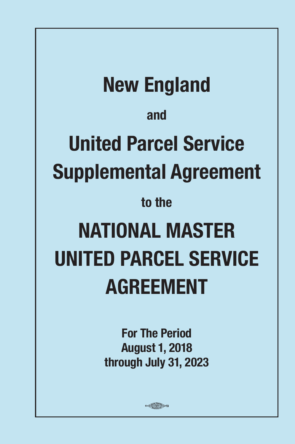**New England and United Parcel Service Supplemental Agreement to the NATIONAL MASTER UNITED PARCEL SERVICE AGREEMENT**

> **For The Period August 1, 2018 through July 31, 2023**

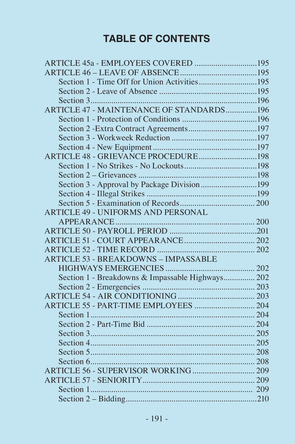# **TABLE OF CONTENTS**

| ARTICLE 47 - MAINTENANCE OF STANDARDS196         |  |
|--------------------------------------------------|--|
|                                                  |  |
|                                                  |  |
|                                                  |  |
|                                                  |  |
|                                                  |  |
|                                                  |  |
|                                                  |  |
|                                                  |  |
|                                                  |  |
|                                                  |  |
| <b>ARTICLE 49 - UNIFORMS AND PERSONAL</b>        |  |
|                                                  |  |
|                                                  |  |
|                                                  |  |
|                                                  |  |
| <b>ARTICLE 53 - BREAKDOWNS - IMPASSABLE</b>      |  |
|                                                  |  |
| Section 1 - Breakdowns & Impassable Highways 202 |  |
|                                                  |  |
|                                                  |  |
|                                                  |  |
|                                                  |  |
|                                                  |  |
|                                                  |  |
|                                                  |  |
|                                                  |  |
|                                                  |  |
|                                                  |  |
|                                                  |  |
|                                                  |  |
|                                                  |  |
|                                                  |  |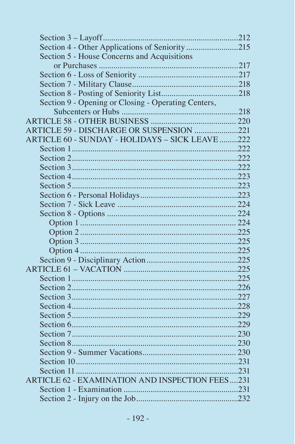| Section 4 - Other Applications of Seniority215      |  |
|-----------------------------------------------------|--|
| Section 5 - House Concerns and Acquisitions         |  |
|                                                     |  |
|                                                     |  |
|                                                     |  |
|                                                     |  |
| Section 9 - Opening or Closing - Operating Centers, |  |
|                                                     |  |
|                                                     |  |
| ARTICLE 59 - DISCHARGE OR SUSPENSION 221            |  |
| ARTICLE 60 - SUNDAY - HOLIDAYS - SICK LEAVE 222     |  |
|                                                     |  |
|                                                     |  |
|                                                     |  |
|                                                     |  |
|                                                     |  |
|                                                     |  |
|                                                     |  |
|                                                     |  |
|                                                     |  |
|                                                     |  |
|                                                     |  |
|                                                     |  |
|                                                     |  |
|                                                     |  |
|                                                     |  |
|                                                     |  |
|                                                     |  |
|                                                     |  |
|                                                     |  |
|                                                     |  |
|                                                     |  |
|                                                     |  |
|                                                     |  |
|                                                     |  |
|                                                     |  |
| ARTICLE 62 - EXAMINATION AND INSPECTION FEES231     |  |
|                                                     |  |
|                                                     |  |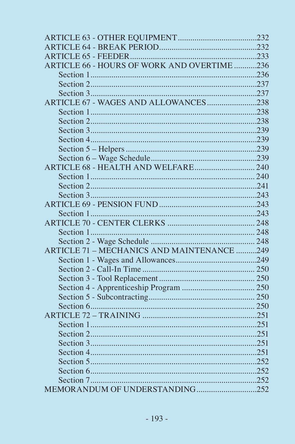| ARTICLE 66 - HOURS OF WORK AND OVERTIME236 |  |
|--------------------------------------------|--|
|                                            |  |
|                                            |  |
|                                            |  |
| ARTICLE 67 - WAGES AND ALLOWANCES238       |  |
|                                            |  |
|                                            |  |
|                                            |  |
|                                            |  |
|                                            |  |
|                                            |  |
| ARTICLE 68 - HEALTH AND WELFARE 240        |  |
|                                            |  |
|                                            |  |
|                                            |  |
|                                            |  |
|                                            |  |
|                                            |  |
|                                            |  |
|                                            |  |
| ARTICLE 71 - MECHANICS AND MAINTENANCE 249 |  |
|                                            |  |
|                                            |  |
|                                            |  |
|                                            |  |
|                                            |  |
| Section 6                                  |  |
|                                            |  |
|                                            |  |
|                                            |  |
|                                            |  |
|                                            |  |
|                                            |  |
|                                            |  |
|                                            |  |
|                                            |  |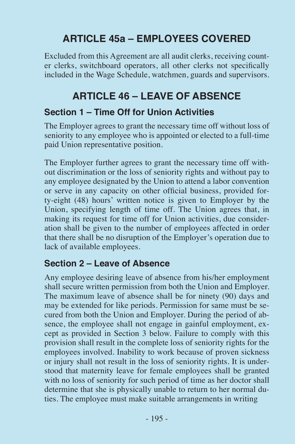# **ARTICLE 45a – EMPLOYEES COVERED**

Excluded from this Agreement are all audit clerks, receiving counter clerks, switchboard operators, all other clerks not specifically included in the Wage Schedule, watchmen, guards and supervisors.

# **ARTICLE 46 – LEAVE OF ABSENCE**

#### **Section 1 – Time Off for Union Activities**

The Employer agrees to grant the necessary time off without loss of seniority to any employee who is appointed or elected to a full-time paid Union representative position.

The Employer further agrees to grant the necessary time off without discrimination or the loss of seniority rights and without pay to any employee designated by the Union to attend a labor convention or serve in any capacity on other official business, provided forty-eight (48) hours' written notice is given to Employer by the Union, specifying length of time off. The Union agrees that, in making its request for time off for Union activities, due consideration shall be given to the number of employees affected in order that there shall be no disruption of the Employer's operation due to lack of available employees.

### **Section 2 – Leave of Absence**

Any employee desiring leave of absence from his/her employment shall secure written permission from both the Union and Employer. The maximum leave of absence shall be for ninety (90) days and may be extended for like periods. Permission for same must be secured from both the Union and Employer. During the period of absence, the employee shall not engage in gainful employment, except as provided in Section 3 below. Failure to comply with this provision shall result in the complete loss of seniority rights for the employees involved. Inability to work because of proven sickness or injury shall not result in the loss of seniority rights. It is understood that maternity leave for female employees shall be granted with no loss of seniority for such period of time as her doctor shall determine that she is physically unable to return to her normal duties. The employee must make suitable arrangements in writing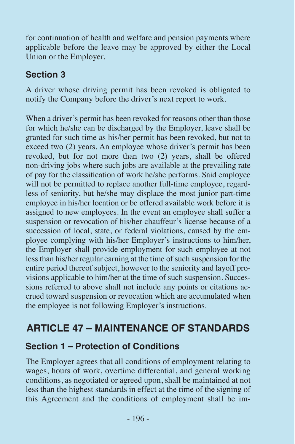for continuation of health and welfare and pension payments where applicable before the leave may be approved by either the Local Union or the Employer.

## **Section 3**

A driver whose driving permit has been revoked is obligated to notify the Company before the driver's next report to work.

When a driver's permit has been revoked for reasons other than those for which he/she can be discharged by the Employer, leave shall be granted for such time as his/her permit has been revoked, but not to exceed two (2) years. An employee whose driver's permit has been revoked, but for not more than two (2) years, shall be offered non-driving jobs where such jobs are available at the prevailing rate of pay for the classification of work he/she performs. Said employee will not be permitted to replace another full-time employee, regardless of seniority, but he/she may displace the most junior part-time employee in his/her location or be offered available work before it is assigned to new employees. In the event an employee shall suffer a suspension or revocation of his/her chauffeur's license because of a succession of local, state, or federal violations, caused by the employee complying with his/her Employer's instructions to him/her, the Employer shall provide employment for such employee at not less than his/her regular earning at the time of such suspension for the entire period thereof subject, however to the seniority and layoff provisions applicable to him/her at the time of such suspension. Successions referred to above shall not include any points or citations accrued toward suspension or revocation which are accumulated when the employee is not following Employer's instructions.

# **ARTICLE 47 – MAINTENANCE OF STANDARDS**

### **Section 1 – Protection of Conditions**

The Employer agrees that all conditions of employment relating to wages, hours of work, overtime differential, and general working conditions, as negotiated or agreed upon, shall be maintained at not less than the highest standards in effect at the time of the signing of this Agreement and the conditions of employment shall be im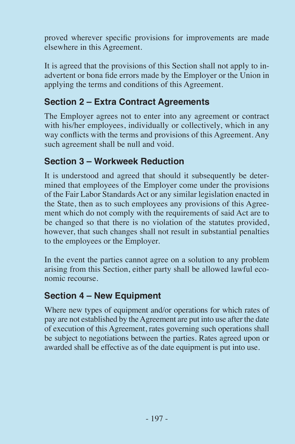proved wherever specific provisions for improvements are made elsewhere in this Agreement.

It is agreed that the provisions of this Section shall not apply to inadvertent or bona fide errors made by the Employer or the Union in applying the terms and conditions of this Agreement.

## **Section 2 – Extra Contract Agreements**

The Employer agrees not to enter into any agreement or contract with his/her employees, individually or collectively, which in any way conflicts with the terms and provisions of this Agreement. Any such agreement shall be null and void.

## **Section 3 – Workweek Reduction**

It is understood and agreed that should it subsequently be determined that employees of the Employer come under the provisions of the Fair Labor Standards Act or any similar legislation enacted in the State, then as to such employees any provisions of this Agreement which do not comply with the requirements of said Act are to be changed so that there is no violation of the statutes provided, however, that such changes shall not result in substantial penalties to the employees or the Employer.

In the event the parties cannot agree on a solution to any problem arising from this Section, either party shall be allowed lawful economic recourse.

### **Section 4 – New Equipment**

Where new types of equipment and/or operations for which rates of pay are not established by the Agreement are put into use after the date of execution of this Agreement, rates governing such operations shall be subject to negotiations between the parties. Rates agreed upon or awarded shall be effective as of the date equipment is put into use.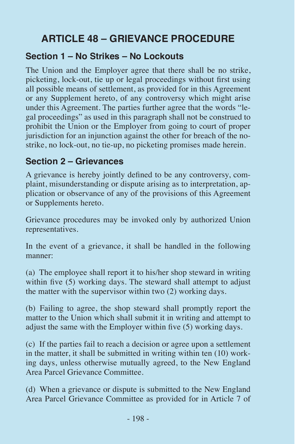# **ARTICLE 48 – GRIEVANCE PROCEDURE**

#### **Section 1 – No Strikes – No Lockouts**

The Union and the Employer agree that there shall be no strike, picketing, lock-out, tie up or legal proceedings without first using all possible means of settlement, as provided for in this Agreement or any Supplement hereto, of any controversy which might arise under this Agreement. The parties further agree that the words "legal proceedings" as used in this paragraph shall not be construed to prohibit the Union or the Employer from going to court of proper jurisdiction for an injunction against the other for breach of the nostrike, no lock-out, no tie-up, no picketing promises made herein.

#### **Section 2 – Grievances**

A grievance is hereby jointly defined to be any controversy, complaint, misunderstanding or dispute arising as to interpretation, application or observance of any of the provisions of this Agreement or Supplements hereto.

Grievance procedures may be invoked only by authorized Union representatives.

In the event of a grievance, it shall be handled in the following manner:

(a) The employee shall report it to his/her shop steward in writing within five (5) working days. The steward shall attempt to adjust the matter with the supervisor within two (2) working days.

(b) Failing to agree, the shop steward shall promptly report the matter to the Union which shall submit it in writing and attempt to adjust the same with the Employer within five (5) working days.

(c) If the parties fail to reach a decision or agree upon a settlement in the matter, it shall be submitted in writing within ten (10) working days, unless otherwise mutually agreed, to the New England Area Parcel Grievance Committee.

(d) When a grievance or dispute is submitted to the New England Area Parcel Grievance Committee as provided for in Article 7 of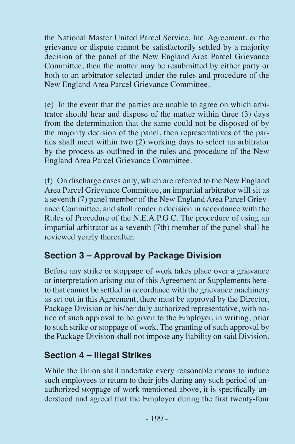the National Master United Parcel Service, Inc. Agreement, or the grievance or dispute cannot be satisfactorily settled by a majority decision of the panel of the New England Area Parcel Grievance Committee, then the matter may be resubmitted by either party or both to an arbitrator selected under the rules and procedure of the New England Area Parcel Grievance Committee.

(e) In the event that the parties are unable to agree on which arbitrator should hear and dispose of the matter within three (3) days from the determination that the same could not be disposed of by the majority decision of the panel, then representatives of the parties shall meet within two (2) working days to select an arbitrator by the process as outlined in the rules and procedure of the New England Area Parcel Grievance Committee.

(f) On discharge cases only, which are referred to the New England Area Parcel Grievance Committee, an impartial arbitrator will sit as a seventh (7) panel member of the New England Area Parcel Grievance Committee, and shall render a decision in accordance with the Rules of Procedure of the N.E.A.P.G.C. The procedure of using an impartial arbitrator as a seventh (7th) member of the panel shall be reviewed yearly thereafter.

### **Section 3 – Approval by Package Division**

Before any strike or stoppage of work takes place over a grievance or interpretation arising out of this Agreement or Supplements hereto that cannot be settled in accordance with the grievance machinery as set out in this Agreement, there must be approval by the Director, Package Division or his/her duly authorized representative, with notice of such approval to be given to the Employer, in writing, prior to such strike or stoppage of work. The granting of such approval by the Package Division shall not impose any liability on said Division.

### **Section 4 – Illegal Strikes**

While the Union shall undertake every reasonable means to induce such employees to return to their jobs during any such period of unauthorized stoppage of work mentioned above, it is specifically understood and agreed that the Employer during the first twenty-four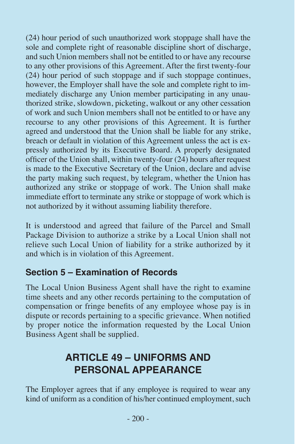(24) hour period of such unauthorized work stoppage shall have the sole and complete right of reasonable discipline short of discharge, and such Union members shall not be entitled to or have any recourse to any other provisions of this Agreement. After the first twenty-four (24) hour period of such stoppage and if such stoppage continues, however, the Employer shall have the sole and complete right to immediately discharge any Union member participating in any unauthorized strike, slowdown, picketing, walkout or any other cessation of work and such Union members shall not be entitled to or have any recourse to any other provisions of this Agreement. It is further agreed and understood that the Union shall be liable for any strike, breach or default in violation of this Agreement unless the act is expressly authorized by its Executive Board. A properly designated officer of the Union shall, within twenty-four (24) hours after request is made to the Executive Secretary of the Union, declare and advise the party making such request, by telegram, whether the Union has authorized any strike or stoppage of work. The Union shall make immediate effort to terminate any strike or stoppage of work which is not authorized by it without assuming liability therefore.

It is understood and agreed that failure of the Parcel and Small Package Division to authorize a strike by a Local Union shall not relieve such Local Union of liability for a strike authorized by it and which is in violation of this Agreement.

#### **Section 5 – Examination of Records**

The Local Union Business Agent shall have the right to examine time sheets and any other records pertaining to the computation of compensation or fringe benefits of any employee whose pay is in dispute or records pertaining to a specific grievance. When notified by proper notice the information requested by the Local Union Business Agent shall be supplied.

# **ARTICLE 49 – UNIFORMS AND PERSONAL APPEARANCE**

The Employer agrees that if any employee is required to wear any kind of uniform as a condition of his/her continued employment, such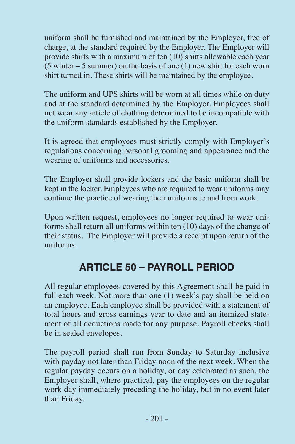uniform shall be furnished and maintained by the Employer, free of charge, at the standard required by the Employer. The Employer will provide shirts with a maximum of ten (10) shirts allowable each year  $(5 \text{ winter} - 5 \text{ summer})$  on the basis of one  $(1)$  new shirt for each worn shirt turned in. These shirts will be maintained by the employee.

The uniform and UPS shirts will be worn at all times while on duty and at the standard determined by the Employer. Employees shall not wear any article of clothing determined to be incompatible with the uniform standards established by the Employer.

It is agreed that employees must strictly comply with Employer's regulations concerning personal grooming and appearance and the wearing of uniforms and accessories.

The Employer shall provide lockers and the basic uniform shall be kept in the locker. Employees who are required to wear uniforms may continue the practice of wearing their uniforms to and from work.

Upon written request, employees no longer required to wear uniforms shall return all uniforms within ten (10) days of the change of their status. The Employer will provide a receipt upon return of the uniforms.

# **ARTICLE 50 – PAYROLL PERIOD**

All regular employees covered by this Agreement shall be paid in full each week. Not more than one (1) week's pay shall be held on an employee. Each employee shall be provided with a statement of total hours and gross earnings year to date and an itemized statement of all deductions made for any purpose. Payroll checks shall be in sealed envelopes.

The payroll period shall run from Sunday to Saturday inclusive with payday not later than Friday noon of the next week. When the regular payday occurs on a holiday, or day celebrated as such, the Employer shall, where practical, pay the employees on the regular work day immediately preceding the holiday, but in no event later than Friday.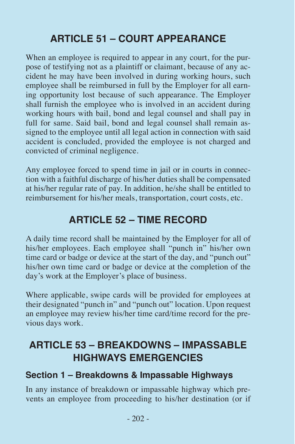# **ARTICLE 51 – COURT APPEARANCE**

When an employee is required to appear in any court, for the purpose of testifying not as a plaintiff or claimant, because of any accident he may have been involved in during working hours, such employee shall be reimbursed in full by the Employer for all earning opportunity lost because of such appearance. The Employer shall furnish the employee who is involved in an accident during working hours with bail, bond and legal counsel and shall pay in full for same. Said bail, bond and legal counsel shall remain assigned to the employee until all legal action in connection with said accident is concluded, provided the employee is not charged and convicted of criminal negligence.

Any employee forced to spend time in jail or in courts in connection with a faithful discharge of his/her duties shall be compensated at his/her regular rate of pay. In addition, he/she shall be entitled to reimbursement for his/her meals, transportation, court costs, etc.

# **ARTICLE 52 – TIME RECORD**

A daily time record shall be maintained by the Employer for all of his/her employees. Each employee shall "punch in" his/her own time card or badge or device at the start of the day, and "punch out" his/her own time card or badge or device at the completion of the day's work at the Employer's place of business.

Where applicable, swipe cards will be provided for employees at their designated "punch in" and "punch out" location. Upon request an employee may review his/her time card/time record for the previous days work.

# **ARTICLE 53 – BREAKDOWNS – IMPASSABLE HIGHWAYS EMERGENCIES**

#### **Section 1 – Breakdowns & Impassable Highways**

In any instance of breakdown or impassable highway which prevents an employee from proceeding to his/her destination (or if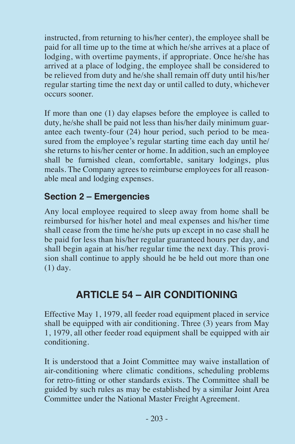instructed, from returning to his/her center), the employee shall be paid for all time up to the time at which he/she arrives at a place of lodging, with overtime payments, if appropriate. Once he/she has arrived at a place of lodging, the employee shall be considered to be relieved from duty and he/she shall remain off duty until his/her regular starting time the next day or until called to duty, whichever occurs sooner.

If more than one (1) day elapses before the employee is called to duty, he/she shall be paid not less than his/her daily minimum guarantee each twenty-four (24) hour period, such period to be measured from the employee's regular starting time each day until he/ she returns to his/her center or home. In addition, such an employee shall be furnished clean, comfortable, sanitary lodgings, plus meals. The Company agrees to reimburse employees for all reasonable meal and lodging expenses.

#### **Section 2 – Emergencies**

Any local employee required to sleep away from home shall be reimbursed for his/her hotel and meal expenses and his/her time shall cease from the time he/she puts up except in no case shall he be paid for less than his/her regular guaranteed hours per day, and shall begin again at his/her regular time the next day. This provision shall continue to apply should he be held out more than one (1) day.

# **ARTICLE 54 – AIR CONDITIONING**

Effective May 1, 1979, all feeder road equipment placed in service shall be equipped with air conditioning. Three (3) years from May 1, 1979, all other feeder road equipment shall be equipped with air conditioning.

It is understood that a Joint Committee may waive installation of air-conditioning where climatic conditions, scheduling problems for retro-fitting or other standards exists. The Committee shall be guided by such rules as may be established by a similar Joint Area Committee under the National Master Freight Agreement.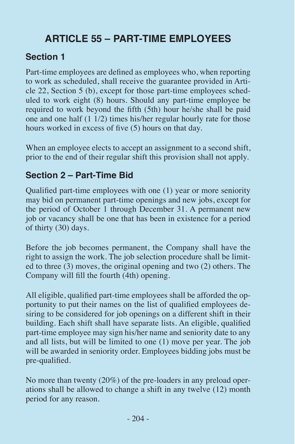# **ARTICLE 55 – PART-TIME EMPLOYEES**

## **Section 1**

Part-time employees are defined as employees who, when reporting to work as scheduled, shall receive the guarantee provided in Article 22, Section 5 (b), except for those part-time employees scheduled to work eight (8) hours. Should any part-time employee be required to work beyond the fifth (5th) hour he/she shall be paid one and one half (1 1/2) times his/her regular hourly rate for those hours worked in excess of five (5) hours on that day.

When an employee elects to accept an assignment to a second shift, prior to the end of their regular shift this provision shall not apply.

## **Section 2 – Part-Time Bid**

Qualified part-time employees with one (1) year or more seniority may bid on permanent part-time openings and new jobs, except for the period of October 1 through December 31. A permanent new job or vacancy shall be one that has been in existence for a period of thirty (30) days.

Before the job becomes permanent, the Company shall have the right to assign the work. The job selection procedure shall be limited to three (3) moves, the original opening and two (2) others. The Company will fill the fourth (4th) opening.

All eligible, qualified part-time employees shall be afforded the opportunity to put their names on the list of qualified employees desiring to be considered for job openings on a different shift in their building. Each shift shall have separate lists. An eligible, qualified part-time employee may sign his/her name and seniority date to any and all lists, but will be limited to one (1) move per year. The job will be awarded in seniority order. Employees bidding jobs must be pre-qualified.

No more than twenty (20%) of the pre-loaders in any preload operations shall be allowed to change a shift in any twelve (12) month period for any reason.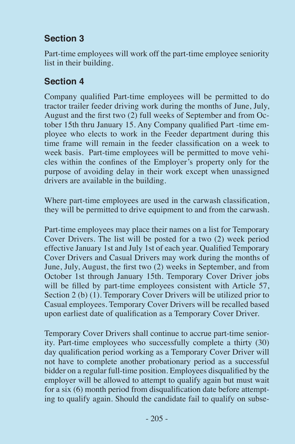## **Section 3**

Part-time employees will work off the part-time employee seniority list in their building.

## **Section 4**

Company qualified Part-time employees will be permitted to do tractor trailer feeder driving work during the months of June, July, August and the first two (2) full weeks of September and from October 15th thru January 15. Any Company qualified Part -time employee who elects to work in the Feeder department during this time frame will remain in the feeder classification on a week to week basis. Part-time employees will be permitted to move vehicles within the confines of the Employer's property only for the purpose of avoiding delay in their work except when unassigned drivers are available in the building.

Where part-time employees are used in the carwash classification, they will be permitted to drive equipment to and from the carwash.

Part-time employees may place their names on a list for Temporary Cover Drivers. The list will be posted for a two (2) week period effective January 1st and July 1st of each year. Qualified Temporary Cover Drivers and Casual Drivers may work during the months of June, July, August, the first two (2) weeks in September, and from October 1st through January 15th. Temporary Cover Driver jobs will be filled by part-time employees consistent with Article 57, Section 2 (b) (1). Temporary Cover Drivers will be utilized prior to Casual employees. Temporary Cover Drivers will be recalled based upon earliest date of qualification as a Temporary Cover Driver.

Temporary Cover Drivers shall continue to accrue part-time seniority. Part-time employees who successfully complete a thirty (30) day qualification period working as a Temporary Cover Driver will not have to complete another probationary period as a successful bidder on a regular full-time position. Employees disqualified by the employer will be allowed to attempt to qualify again but must wait for a six (6) month period from disqualification date before attempting to qualify again. Should the candidate fail to qualify on subse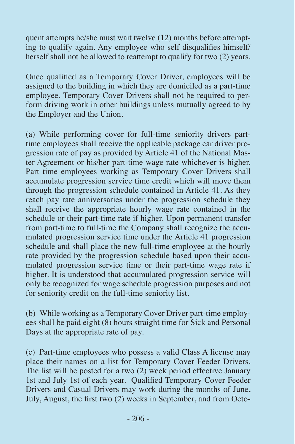quent attempts he/she must wait twelve (12) months before attempting to qualify again. Any employee who self disqualifies himself/ herself shall not be allowed to reattempt to qualify for two (2) years.

Once qualified as a Temporary Cover Driver, employees will be assigned to the building in which they are domiciled as a part-time employee. Temporary Cover Drivers shall not be required to perform driving work in other buildings unless mutually agreed to by the Employer and the Union.

(a) While performing cover for full-time seniority drivers parttime employees shall receive the applicable package car driver progression rate of pay as provided by Article 41 of the National Master Agreement or his/her part-time wage rate whichever is higher. Part time employees working as Temporary Cover Drivers shall accumulate progression service time credit which will move them through the progression schedule contained in Article 41. As they reach pay rate anniversaries under the progression schedule they shall receive the appropriate hourly wage rate contained in the schedule or their part-time rate if higher. Upon permanent transfer from part-time to full-time the Company shall recognize the accumulated progression service time under the Article 41 progression schedule and shall place the new full-time employee at the hourly rate provided by the progression schedule based upon their accumulated progression service time or their part-time wage rate if higher. It is understood that accumulated progression service will only be recognized for wage schedule progression purposes and not for seniority credit on the full-time seniority list.

(b) While working as a Temporary Cover Driver part-time employees shall be paid eight (8) hours straight time for Sick and Personal Days at the appropriate rate of pay.

(c) Part-time employees who possess a valid Class A license may place their names on a list for Temporary Cover Feeder Drivers. The list will be posted for a two  $(2)$  week period effective January 1st and July 1st of each year. Qualified Temporary Cover Feeder Drivers and Casual Drivers may work during the months of June, July, August, the first two (2) weeks in September, and from Octo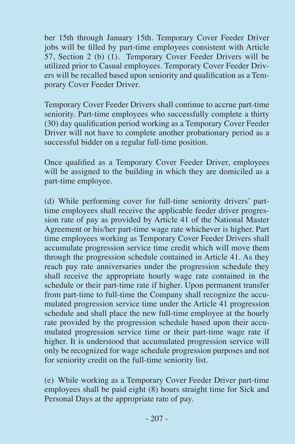ber 15th through January 15th. Temporary Cover Feeder Driver jobs will be filled by part-time employees consistent with Article 57, Section 2 (b) (1). Temporary Cover Feeder Drivers will be utilized prior to Casual employees. Temporary Cover Feeder Drivers will be recalled based upon seniority and qualification as a Temporary Cover Feeder Driver.

Temporary Cover Feeder Drivers shall continue to accrue part-time seniority. Part-time employees who successfully complete a thirty (30) day qualification period working as a Temporary Cover Feeder Driver will not have to complete another probationary period as a successful bidder on a regular full-time position.

Once qualified as a Temporary Cover Feeder Driver, employees will be assigned to the building in which they are domiciled as a part-time employee.

(d) While performing cover for full-time seniority drivers' parttime employees shall receive the applicable feeder driver progression rate of pay as provided by Article 41 of the National Master Agreement or his/her part-time wage rate whichever is higher. Part time employees working as Temporary Cover Feeder Drivers shall accumulate progression service time credit which will move them through the progression schedule contained in Article 41. As they reach pay rate anniversaries under the progression schedule they shall receive the appropriate hourly wage rate contained in the schedule or their part-time rate if higher. Upon permanent transfer from part-time to full-time the Company shall recognize the accumulated progression service time under the Article 41 progression schedule and shall place the new full-time employee at the hourly rate provided by the progression schedule based upon their accumulated progression service time or their part-time wage rate if higher. It is understood that accumulated progression service will only be recognized for wage schedule progression purposes and not for seniority credit on the full-time seniority list.

(e) While working as a Temporary Cover Feeder Driver part-time employees shall be paid eight (8) hours straight time for Sick and Personal Days at the appropriate rate of pay.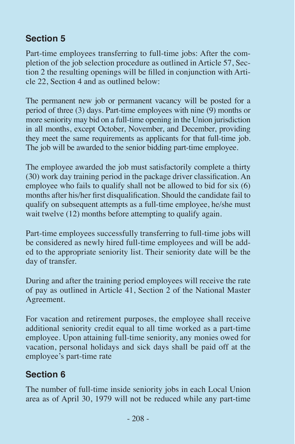## **Section 5**

Part-time employees transferring to full-time jobs: After the completion of the job selection procedure as outlined in Article 57, Section 2 the resulting openings will be filled in conjunction with Article 22, Section 4 and as outlined below:

The permanent new job or permanent vacancy will be posted for a period of three (3) days. Part-time employees with nine  $(\hat{9})$  months or more seniority may bid on a full-time opening in the Union jurisdiction in all months, except October, November, and December, providing they meet the same requirements as applicants for that full-time job. The job will be awarded to the senior bidding part-time employee.

The employee awarded the job must satisfactorily complete a thirty (30) work day training period in the package driver classification. An employee who fails to qualify shall not be allowed to bid for six (6) months after his/her first disqualification. Should the candidate fail to qualify on subsequent attempts as a full-time employee, he/she must wait twelve (12) months before attempting to qualify again.

Part-time employees successfully transferring to full-time jobs will be considered as newly hired full-time employees and will be added to the appropriate seniority list. Their seniority date will be the day of transfer.

During and after the training period employees will receive the rate of pay as outlined in Article 41, Section 2 of the National Master Agreement.

For vacation and retirement purposes, the employee shall receive additional seniority credit equal to all time worked as a part-time employee. Upon attaining full-time seniority, any monies owed for vacation, personal holidays and sick days shall be paid off at the employee's part-time rate

## **Section 6**

The number of full-time inside seniority jobs in each Local Union area as of April 30, 1979 will not be reduced while any part-time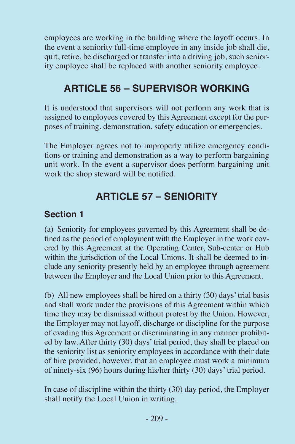employees are working in the building where the layoff occurs. In the event a seniority full-time employee in any inside job shall die, quit, retire, be discharged or transfer into a driving job, such seniority employee shall be replaced with another seniority employee.

# **ARTICLE 56 – SUPERVISOR WORKING**

It is understood that supervisors will not perform any work that is assigned to employees covered by this Agreement except for the purposes of training, demonstration, safety education or emergencies.

The Employer agrees not to improperly utilize emergency conditions or training and demonstration as a way to perform bargaining unit work. In the event a supervisor does perform bargaining unit work the shop steward will be notified.

# **ARTICLE 57 – SENIORITY**

#### **Section 1**

(a) Seniority for employees governed by this Agreement shall be defined as the period of employment with the Employer in the work covered by this Agreement at the Operating Center, Sub-center or Hub within the jurisdiction of the Local Unions. It shall be deemed to include any seniority presently held by an employee through agreement between the Employer and the Local Union prior to this Agreement.

(b) All new employees shall be hired on a thirty (30) days' trial basis and shall work under the provisions of this Agreement within which time they may be dismissed without protest by the Union. However, the Employer may not layoff, discharge or discipline for the purpose of evading this Agreement or discriminating in any manner prohibited by law. After thirty (30) days' trial period, they shall be placed on the seniority list as seniority employees in accordance with their date of hire provided, however, that an employee must work a minimum of ninety-six (96) hours during his/her thirty (30) days' trial period.

In case of discipline within the thirty (30) day period, the Employer shall notify the Local Union in writing.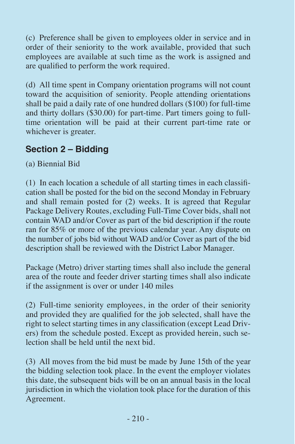(c) Preference shall be given to employees older in service and in order of their seniority to the work available, provided that such employees are available at such time as the work is assigned and are qualified to perform the work required.

(d) All time spent in Company orientation programs will not count toward the acquisition of seniority. People attending orientations shall be paid a daily rate of one hundred dollars (\$100) for full-time and thirty dollars (\$30.00) for part-time. Part timers going to fulltime orientation will be paid at their current part-time rate or whichever is greater.

## **Section 2 – Bidding**

(a) Biennial Bid

(1) In each location a schedule of all starting times in each classification shall be posted for the bid on the second Monday in February and shall remain posted for (2) weeks. It is agreed that Regular Package Delivery Routes, excluding Full-Time Cover bids, shall not contain WAD and/or Cover as part of the bid description if the route ran for 85% or more of the previous calendar year. Any dispute on the number of jobs bid without WAD and/or Cover as part of the bid description shall be reviewed with the District Labor Manager.

Package (Metro) driver starting times shall also include the general area of the route and feeder driver starting times shall also indicate if the assignment is over or under 140 miles

(2) Full-time seniority employees, in the order of their seniority and provided they are qualified for the job selected, shall have the right to select starting times in any classification (except Lead Drivers) from the schedule posted. Except as provided herein, such selection shall be held until the next bid.

(3) All moves from the bid must be made by June 15th of the year the bidding selection took place. In the event the employer violates this date, the subsequent bids will be on an annual basis in the local jurisdiction in which the violation took place for the duration of this Agreement.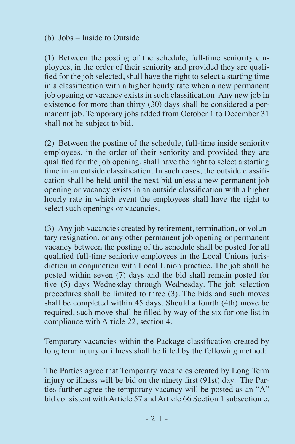#### (b) Jobs – Inside to Outside

(1) Between the posting of the schedule, full-time seniority employees, in the order of their seniority and provided they are qualified for the job selected, shall have the right to select a starting time in a classification with a higher hourly rate when a new permanent job opening or vacancy exists in such classification. Any new job in existence for more than thirty (30) days shall be considered a permanent job. Temporary jobs added from October 1 to December 31 shall not be subject to bid.

(2) Between the posting of the schedule, full-time inside seniority employees, in the order of their seniority and provided they are qualified for the job opening, shall have the right to select a starting time in an outside classification. In such cases, the outside classification shall be held until the next bid unless a new permanent job opening or vacancy exists in an outside classification with a higher hourly rate in which event the employees shall have the right to select such openings or vacancies.

(3) Any job vacancies created by retirement, termination, or voluntary resignation, or any other permanent job opening or permanent vacancy between the posting of the schedule shall be posted for all qualified full-time seniority employees in the Local Unions jurisdiction in conjunction with Local Union practice. The job shall be posted within seven (7) days and the bid shall remain posted for five (5) days Wednesday through Wednesday. The job selection procedures shall be limited to three (3). The bids and such moves shall be completed within 45 days. Should a fourth (4th) move be required, such move shall be filled by way of the six for one list in compliance with Article 22, section 4.

Temporary vacancies within the Package classification created by long term injury or illness shall be filled by the following method:

The Parties agree that Temporary vacancies created by Long Term injury or illness will be bid on the ninety first (91st) day. The Parties further agree the temporary vacancy will be posted as an "A" bid consistent with Article 57 and Article 66 Section 1 subsection c.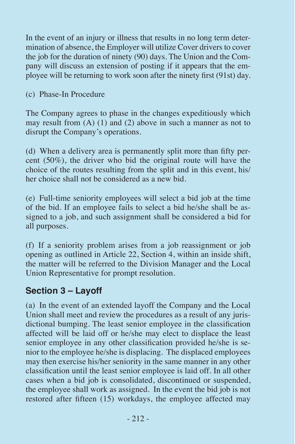In the event of an injury or illness that results in no long term determination of absence, the Employer will utilize Cover drivers to cover the job for the duration of ninety (90) days. The Union and the Company will discuss an extension of posting if it appears that the employee will be returning to work soon after the ninety first (91st) day.

(c) Phase-In Procedure

The Company agrees to phase in the changes expeditiously which may result from (A) (1) and (2) above in such a manner as not to disrupt the Company's operations.

(d) When a delivery area is permanently split more than fifty percent (50%), the driver who bid the original route will have the choice of the routes resulting from the split and in this event, his/ her choice shall not be considered as a new bid.

(e) Full-time seniority employees will select a bid job at the time of the bid. If an employee fails to select a bid he/she shall be assigned to a job, and such assignment shall be considered a bid for all purposes.

(f) If a seniority problem arises from a job reassignment or job opening as outlined in Article 22, Section 4, within an inside shift, the matter will be referred to the Division Manager and the Local Union Representative for prompt resolution.

#### **Section 3 – Layoff**

(a) In the event of an extended layoff the Company and the Local Union shall meet and review the procedures as a result of any jurisdictional bumping. The least senior employee in the classification affected will be laid off or he/she may elect to displace the least senior employee in any other classification provided he/she is senior to the employee he/she is displacing. The displaced employees may then exercise his/her seniority in the same manner in any other classification until the least senior employee is laid off. In all other cases when a bid job is consolidated, discontinued or suspended, the employee shall work as assigned. In the event the bid job is not restored after fifteen (15) workdays, the employee affected may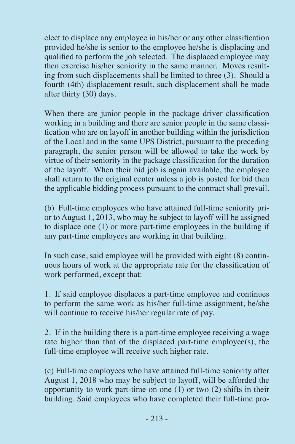elect to displace any employee in his/her or any other classification provided he/she is senior to the employee he/she is displacing and qualified to perform the job selected. The displaced employee may then exercise his/her seniority in the same manner. Moves resulting from such displacements shall be limited to three (3). Should a fourth (4th) displacement result, such displacement shall be made after thirty (30) days.

When there are junior people in the package driver classification working in a building and there are senior people in the same classification who are on layoff in another building within the jurisdiction of the Local and in the same UPS District, pursuant to the preceding paragraph, the senior person will be allowed to take the work by virtue of their seniority in the package classification for the duration of the layoff. When their bid job is again available, the employee shall return to the original center unless a job is posted for bid then the applicable bidding process pursuant to the contract shall prevail.

(b) Full-time employees who have attained full-time seniority prior to August 1, 2013, who may be subject to layoff will be assigned to displace one (1) or more part-time employees in the building if any part-time employees are working in that building.

In such case, said employee will be provided with eight (8) continuous hours of work at the appropriate rate for the classification of work performed, except that:

1. If said employee displaces a part-time employee and continues to perform the same work as his/her full-time assignment, he/she will continue to receive his/her regular rate of pay.

2. If in the building there is a part-time employee receiving a wage rate higher than that of the displaced part-time employee(s), the full-time employee will receive such higher rate.

(c) Full-time employees who have attained full-time seniority after August 1, 2018 who may be subject to layoff, will be afforded the opportunity to work part-time on one (1) or two (2) shifts in their building. Said employees who have completed their full-time pro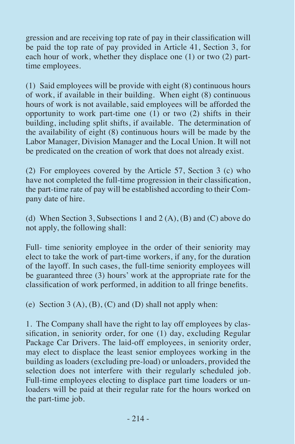gression and are receiving top rate of pay in their classification will be paid the top rate of pay provided in Article 41, Section 3, for each hour of work, whether they displace one (1) or two (2) parttime employees.

(1) Said employees will be provide with eight (8) continuous hours of work, if available in their building. When eight (8) continuous hours of work is not available, said employees will be afforded the opportunity to work part-time one  $(1)$  or two  $(2)$  shifts in their building, including split shifts, if available. The determination of the availability of eight (8) continuous hours will be made by the Labor Manager, Division Manager and the Local Union. It will not be predicated on the creation of work that does not already exist.

(2) For employees covered by the Article 57, Section 3 (c) who have not completed the full-time progression in their classification, the part-time rate of pay will be established according to their Company date of hire.

(d) When Section 3, Subsections 1 and  $2(A)$ ,  $(B)$  and  $(C)$  above do not apply, the following shall:

Full- time seniority employee in the order of their seniority may elect to take the work of part-time workers, if any, for the duration of the layoff. In such cases, the full-time seniority employees will be guaranteed three (3) hours' work at the appropriate rate for the classification of work performed, in addition to all fringe benefits.

(e) Section  $3(A)$ ,  $(B)$ ,  $(C)$  and  $(D)$  shall not apply when:

1. The Company shall have the right to lay off employees by classification, in seniority order, for one (1) day, excluding Regular Package Car Drivers. The laid-off employees, in seniority order, may elect to displace the least senior employees working in the building as loaders (excluding pre-load) or unloaders, provided the selection does not interfere with their regularly scheduled job. Full-time employees electing to displace part time loaders or unloaders will be paid at their regular rate for the hours worked on the part-time job.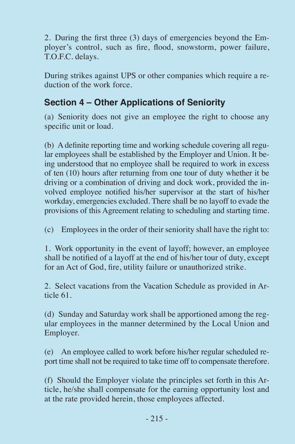2. During the first three (3) days of emergencies beyond the Employer's control, such as fire, flood, snowstorm, power failure, T.O.F.C. delays.

During strikes against UPS or other companies which require a reduction of the work force.

### **Section 4 – Other Applications of Seniority**

(a) Seniority does not give an employee the right to choose any specific unit or load.

(b) A definite reporting time and working schedule covering all regular employees shall be established by the Employer and Union. It being understood that no employee shall be required to work in excess of ten (10) hours after returning from one tour of duty whether it be driving or a combination of driving and dock work, provided the involved employee notified his/her supervisor at the start of his/her workday, emergencies excluded. There shall be no layoff to evade the provisions of this Agreement relating to scheduling and starting time.

(c) Employees in the order of their seniority shall have the right to:

1. Work opportunity in the event of layoff; however, an employee shall be notified of a layoff at the end of his/her tour of duty, except for an Act of God, fire, utility failure or unauthorized strike.

2. Select vacations from the Vacation Schedule as provided in Article 61.

(d) Sunday and Saturday work shall be apportioned among the regular employees in the manner determined by the Local Union and Employer.

(e) An employee called to work before his/her regular scheduled report time shall not be required to take time off to compensate therefore.

(f) Should the Employer violate the principles set forth in this Article, he/she shall compensate for the earning opportunity lost and at the rate provided herein, those employees affected.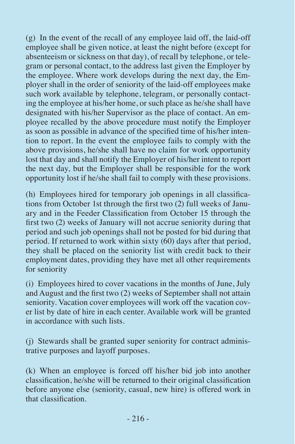(g) In the event of the recall of any employee laid off, the laid-off employee shall be given notice, at least the night before (except for absenteeism or sickness on that day), of recall by telephone, or telegram or personal contact, to the address last given the Employer by the employee. Where work develops during the next day, the Employer shall in the order of seniority of the laid-off employees make such work available by telephone, telegram, or personally contacting the employee at his/her home, or such place as he/she shall have designated with his/her Supervisor as the place of contact. An employee recalled by the above procedure must notify the Employer as soon as possible in advance of the specified time of his/her intention to report. In the event the employee fails to comply with the above provisions, he/she shall have no claim for work opportunity lost that day and shall notify the Employer of his/her intent to report the next day, but the Employer shall be responsible for the work opportunity lost if he/she shall fail to comply with these provisions.

(h) Employees hired for temporary job openings in all classifications from October 1st through the first two (2) full weeks of January and in the Feeder Classification from October 15 through the first two (2) weeks of January will not accrue seniority during that period and such job openings shall not be posted for bid during that period. If returned to work within sixty (60) days after that period, they shall be placed on the seniority list with credit back to their employment dates, providing they have met all other requirements for seniority

(i) Employees hired to cover vacations in the months of June, July and August and the first two (2) weeks of September shall not attain seniority. Vacation cover employees will work off the vacation cover list by date of hire in each center. Available work will be granted in accordance with such lists.

(j) Stewards shall be granted super seniority for contract administrative purposes and layoff purposes.

(k) When an employee is forced off his/her bid job into another classification, he/she will be returned to their original classification before anyone else (seniority, casual, new hire) is offered work in that classification.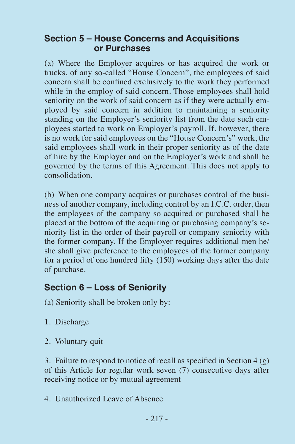#### **Section 5 – House Concerns and Acquisitions or Purchases**

(a) Where the Employer acquires or has acquired the work or trucks, of any so-called "House Concern", the employees of said concern shall be confined exclusively to the work they performed while in the employ of said concern. Those employees shall hold seniority on the work of said concern as if they were actually employed by said concern in addition to maintaining a seniority standing on the Employer's seniority list from the date such employees started to work on Employer's payroll. If, however, there is no work for said employees on the "House Concern's" work, the said employees shall work in their proper seniority as of the date of hire by the Employer and on the Employer's work and shall be governed by the terms of this Agreement. This does not apply to consolidation.

(b) When one company acquires or purchases control of the business of another company, including control by an I.C.C. order, then the employees of the company so acquired or purchased shall be placed at the bottom of the acquiring or purchasing company's seniority list in the order of their payroll or company seniority with the former company. If the Employer requires additional men he/ she shall give preference to the employees of the former company for a period of one hundred fifty (150) working days after the date of purchase.

#### **Section 6 – Loss of Seniority**

- (a) Seniority shall be broken only by:
- 1. Discharge
- 2. Voluntary quit

3. Failure to respond to notice of recall as specified in Section 4 (g) of this Article for regular work seven (7) consecutive days after receiving notice or by mutual agreement

4. Unauthorized Leave of Absence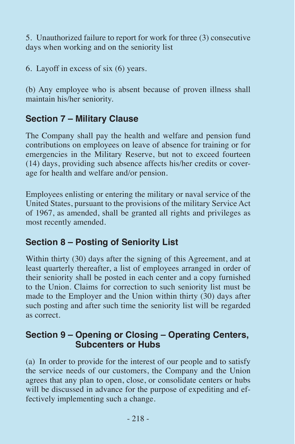5. Unauthorized failure to report for work for three (3) consecutive days when working and on the seniority list

6. Layoff in excess of six (6) years.

(b) Any employee who is absent because of proven illness shall maintain his/her seniority.

## **Section 7 – Military Clause**

The Company shall pay the health and welfare and pension fund contributions on employees on leave of absence for training or for emergencies in the Military Reserve, but not to exceed fourteen (14) days, providing such absence affects his/her credits or coverage for health and welfare and/or pension.

Employees enlisting or entering the military or naval service of the United States, pursuant to the provisions of the military Service Act of 1967, as amended, shall be granted all rights and privileges as most recently amended.

### **Section 8 – Posting of Seniority List**

Within thirty (30) days after the signing of this Agreement, and at least quarterly thereafter, a list of employees arranged in order of their seniority shall be posted in each center and a copy furnished to the Union. Claims for correction to such seniority list must be made to the Employer and the Union within thirty (30) days after such posting and after such time the seniority list will be regarded as correct.

#### **Section 9 – Opening or Closing – Operating Centers, Subcenters or Hubs**

(a) In order to provide for the interest of our people and to satisfy the service needs of our customers, the Company and the Union agrees that any plan to open, close, or consolidate centers or hubs will be discussed in advance for the purpose of expediting and effectively implementing such a change.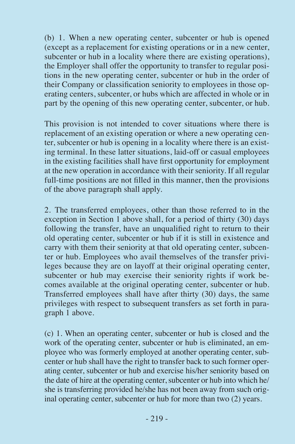(b) 1. When a new operating center, subcenter or hub is opened (except as a replacement for existing operations or in a new center, subcenter or hub in a locality where there are existing operations). the Employer shall offer the opportunity to transfer to regular positions in the new operating center, subcenter or hub in the order of their Company or classification seniority to employees in those operating centers, subcenter, or hubs which are affected in whole or in part by the opening of this new operating center, subcenter, or hub.

This provision is not intended to cover situations where there is replacement of an existing operation or where a new operating center, subcenter or hub is opening in a locality where there is an existing terminal. In these latter situations, laid-off or casual employees in the existing facilities shall have first opportunity for employment at the new operation in accordance with their seniority. If all regular full-time positions are not filled in this manner, then the provisions of the above paragraph shall apply.

2. The transferred employees, other than those referred to in the exception in Section 1 above shall, for a period of thirty (30) days following the transfer, have an unqualified right to return to their old operating center, subcenter or hub if it is still in existence and carry with them their seniority at that old operating center, subcenter or hub. Employees who avail themselves of the transfer privileges because they are on layoff at their original operating center, subcenter or hub may exercise their seniority rights if work becomes available at the original operating center, subcenter or hub. Transferred employees shall have after thirty (30) days, the same privileges with respect to subsequent transfers as set forth in paragraph 1 above.

(c) 1. When an operating center, subcenter or hub is closed and the work of the operating center, subcenter or hub is eliminated, an employee who was formerly employed at another operating center, subcenter or hub shall have the right to transfer back to such former operating center, subcenter or hub and exercise his/her seniority based on the date of hire at the operating center, subcenter or hub into which he/ she is transferring provided he/she has not been away from such original operating center, subcenter or hub for more than two (2) years.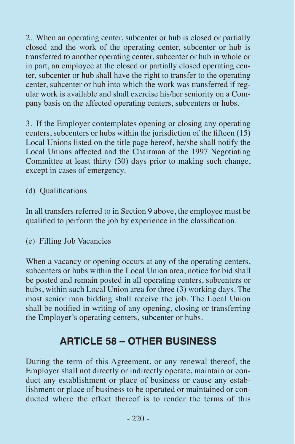2. When an operating center, subcenter or hub is closed or partially closed and the work of the operating center, subcenter or hub is transferred to another operating center, subcenter or hub in whole or in part, an employee at the closed or partially closed operating center, subcenter or hub shall have the right to transfer to the operating center, subcenter or hub into which the work was transferred if regular work is available and shall exercise his/her seniority on a Company basis on the affected operating centers, subcenters or hubs.

3. If the Employer contemplates opening or closing any operating centers, subcenters or hubs within the jurisdiction of the fifteen (15) Local Unions listed on the title page hereof, he/she shall notify the Local Unions affected and the Chairman of the 1997 Negotiating Committee at least thirty (30) days prior to making such change, except in cases of emergency.

#### (d) Qualifications

In all transfers referred to in Section 9 above, the employee must be qualified to perform the job by experience in the classification.

#### (e) Filling Job Vacancies

When a vacancy or opening occurs at any of the operating centers, subcenters or hubs within the Local Union area, notice for bid shall be posted and remain posted in all operating centers, subcenters or hubs, within such Local Union area for three (3) working days. The most senior man bidding shall receive the job. The Local Union shall be notified in writing of any opening, closing or transferring the Employer's operating centers, subcenter or hubs.

## **ARTICLE 58 – OTHER BUSINESS**

During the term of this Agreement, or any renewal thereof, the Employer shall not directly or indirectly operate, maintain or conduct any establishment or place of business or cause any establishment or place of business to be operated or maintained or conducted where the effect thereof is to render the terms of this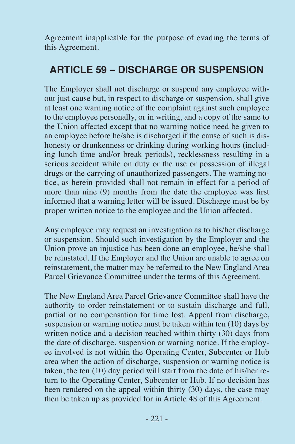Agreement inapplicable for the purpose of evading the terms of this Agreement.

## **ARTICLE 59 – DISCHARGE OR SUSPENSION**

The Employer shall not discharge or suspend any employee without just cause but, in respect to discharge or suspension, shall give at least one warning notice of the complaint against such employee to the employee personally, or in writing, and a copy of the same to the Union affected except that no warning notice need be given to an employee before he/she is discharged if the cause of such is dishonesty or drunkenness or drinking during working hours (including lunch time and/or break periods), recklessness resulting in a serious accident while on duty or the use or possession of illegal drugs or the carrying of unauthorized passengers. The warning notice, as herein provided shall not remain in effect for a period of more than nine (9) months from the date the employee was first informed that a warning letter will be issued. Discharge must be by proper written notice to the employee and the Union affected.

Any employee may request an investigation as to his/her discharge or suspension. Should such investigation by the Employer and the Union prove an injustice has been done an employee, he/she shall be reinstated. If the Employer and the Union are unable to agree on reinstatement, the matter may be referred to the New England Area Parcel Grievance Committee under the terms of this Agreement.

The New England Area Parcel Grievance Committee shall have the authority to order reinstatement or to sustain discharge and full, partial or no compensation for time lost. Appeal from discharge, suspension or warning notice must be taken within ten (10) days by written notice and a decision reached within thirty (30) days from the date of discharge, suspension or warning notice. If the employee involved is not within the Operating Center, Subcenter or Hub area when the action of discharge, suspension or warning notice is taken, the ten (10) day period will start from the date of his/her return to the Operating Center, Subcenter or Hub. If no decision has been rendered on the appeal within thirty (30) days, the case may then be taken up as provided for in Article 48 of this Agreement.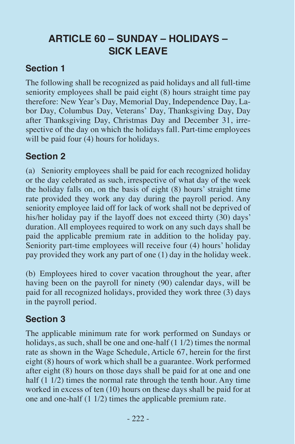# **ARTICLE 60 – SUNDAY – HOLIDAYS – SICK LEAVE**

## **Section 1**

The following shall be recognized as paid holidays and all full-time seniority employees shall be paid eight (8) hours straight time pay therefore: New Year's Day, Memorial Day, Independence Day, Labor Day, Columbus Day, Veterans' Day, Thanksgiving Day, Day after Thanksgiving Day, Christmas Day and December 31, irrespective of the day on which the holidays fall. Part-time employees will be paid four (4) hours for holidays.

## **Section 2**

(a) Seniority employees shall be paid for each recognized holiday or the day celebrated as such, irrespective of what day of the week the holiday falls on, on the basis of eight (8) hours' straight time rate provided they work any day during the payroll period. Any seniority employee laid off for lack of work shall not be deprived of his/her holiday pay if the layoff does not exceed thirty (30) days' duration. All employees required to work on any such days shall be paid the applicable premium rate in addition to the holiday pay. Seniority part-time employees will receive four (4) hours' holiday pay provided they work any part of one (1) day in the holiday week.

(b) Employees hired to cover vacation throughout the year, after having been on the payroll for ninety (90) calendar days, will be paid for all recognized holidays, provided they work three (3) days in the payroll period.

## **Section 3**

The applicable minimum rate for work performed on Sundays or holidays, as such, shall be one and one-half (1 1/2) times the normal rate as shown in the Wage Schedule, Article 67, herein for the first eight (8) hours of work which shall be a guarantee. Work performed after eight (8) hours on those days shall be paid for at one and one half (1 1/2) times the normal rate through the tenth hour. Any time worked in excess of ten (10) hours on these days shall be paid for at one and one-half (1 1/2) times the applicable premium rate.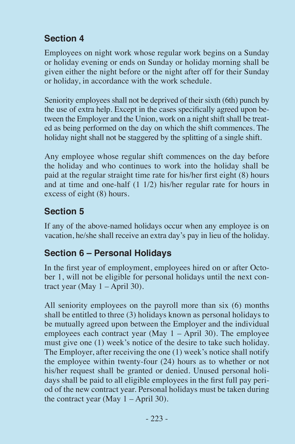## **Section 4**

Employees on night work whose regular work begins on a Sunday or holiday evening or ends on Sunday or holiday morning shall be given either the night before or the night after off for their Sunday or holiday, in accordance with the work schedule.

Seniority employees shall not be deprived of their sixth (6th) punch by the use of extra help. Except in the cases specifically agreed upon between the Employer and the Union, work on a night shift shall be treated as being performed on the day on which the shift commences. The holiday night shall not be staggered by the splitting of a single shift.

Any employee whose regular shift commences on the day before the holiday and who continues to work into the holiday shall be paid at the regular straight time rate for his/her first eight (8) hours and at time and one-half (1 1/2) his/her regular rate for hours in excess of eight (8) hours.

## **Section 5**

If any of the above-named holidays occur when any employee is on vacation, he/she shall receive an extra day's pay in lieu of the holiday.

### **Section 6 – Personal Holidays**

In the first year of employment, employees hired on or after October 1, will not be eligible for personal holidays until the next contract year (May  $1 -$ April 30).

All seniority employees on the payroll more than six (6) months shall be entitled to three (3) holidays known as personal holidays to be mutually agreed upon between the Employer and the individual employees each contract year (May 1 – April 30). The employee must give one (1) week's notice of the desire to take such holiday. The Employer, after receiving the one (1) week's notice shall notify the employee within twenty-four (24) hours as to whether or not his/her request shall be granted or denied. Unused personal holidays shall be paid to all eligible employees in the first full pay period of the new contract year. Personal holidays must be taken during the contract year (May  $1 -$ April 30).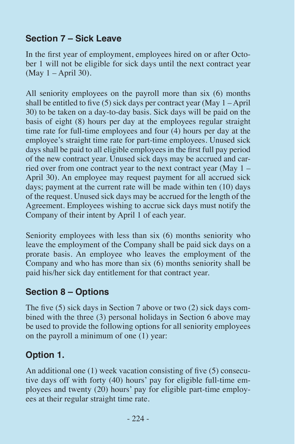## **Section 7 – Sick Leave**

In the first year of employment, employees hired on or after October 1 will not be eligible for sick days until the next contract year (May 1 – April 30).

All seniority employees on the payroll more than six (6) months shall be entitled to five (5) sick days per contract year (May 1 – April 30) to be taken on a day-to-day basis. Sick days will be paid on the basis of eight (8) hours per day at the employees regular straight time rate for full-time employees and four (4) hours per day at the employee's straight time rate for part-time employees. Unused sick days shall be paid to all eligible employees in the first full pay period of the new contract year. Unused sick days may be accrued and carried over from one contract year to the next contract year (May 1 – April 30). An employee may request payment for all accrued sick days; payment at the current rate will be made within ten (10) days of the request. Unused sick days may be accrued for the length of the Agreement. Employees wishing to accrue sick days must notify the Company of their intent by April 1 of each year.

Seniority employees with less than six  $(6)$  months seniority who leave the employment of the Company shall be paid sick days on a prorate basis. An employee who leaves the employment of the Company and who has more than six (6) months seniority shall be paid his/her sick day entitlement for that contract year.

### **Section 8 – Options**

The five (5) sick days in Section 7 above or two (2) sick days combined with the three (3) personal holidays in Section 6 above may be used to provide the following options for all seniority employees on the payroll a minimum of one (1) year:

## **Option 1.**

An additional one (1) week vacation consisting of five (5) consecutive days off with forty (40) hours' pay for eligible full-time employees and twenty (20) hours' pay for eligible part-time employees at their regular straight time rate.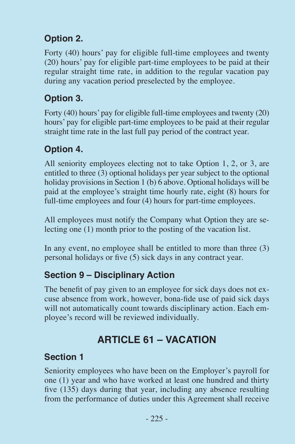## **Option 2.**

Forty (40) hours' pay for eligible full-time employees and twenty (20) hours' pay for eligible part-time employees to be paid at their regular straight time rate, in addition to the regular vacation pay during any vacation period preselected by the employee.

## **Option 3.**

Forty (40) hours' pay for eligible full-time employees and twenty (20) hours' pay for eligible part-time employees to be paid at their regular straight time rate in the last full pay period of the contract year.

## **Option 4.**

All seniority employees electing not to take Option 1, 2, or 3, are entitled to three (3) optional holidays per year subject to the optional holiday provisions in Section 1 (b) 6 above. Optional holidays will be paid at the employee's straight time hourly rate, eight (8) hours for full-time employees and four (4) hours for part-time employees.

All employees must notify the Company what Option they are selecting one (1) month prior to the posting of the vacation list.

In any event, no employee shall be entitled to more than three (3) personal holidays or five (5) sick days in any contract year.

### **Section 9 – Disciplinary Action**

The benefit of pay given to an employee for sick days does not excuse absence from work, however, bona-fide use of paid sick days will not automatically count towards disciplinary action. Each employee's record will be reviewed individually.

# **ARTICLE 61 – VACATION**

### **Section 1**

Seniority employees who have been on the Employer's payroll for one (1) year and who have worked at least one hundred and thirty five (135) days during that year, including any absence resulting from the performance of duties under this Agreement shall receive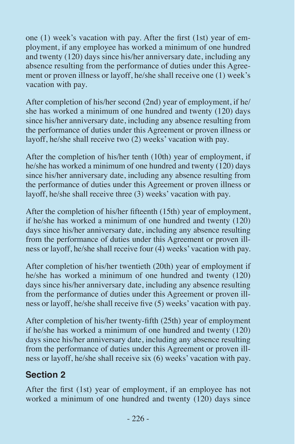one (1) week's vacation with pay. After the first (1st) year of employment, if any employee has worked a minimum of one hundred and twenty (120) days since his/her anniversary date, including any absence resulting from the performance of duties under this Agreement or proven illness or layoff, he/she shall receive one (1) week's vacation with pay.

After completion of his/her second (2nd) year of employment, if he/ she has worked a minimum of one hundred and twenty (120) days since his/her anniversary date, including any absence resulting from the performance of duties under this Agreement or proven illness or layoff, he/she shall receive two (2) weeks' vacation with pay.

After the completion of his/her tenth (10th) year of employment, if he/she has worked a minimum of one hundred and twenty (120) days since his/her anniversary date, including any absence resulting from the performance of duties under this Agreement or proven illness or layoff, he/she shall receive three (3) weeks' vacation with pay.

After the completion of his/her fifteenth (15th) year of employment, if he/she has worked a minimum of one hundred and twenty (120) days since his/her anniversary date, including any absence resulting from the performance of duties under this Agreement or proven illness or layoff, he/she shall receive four (4) weeks' vacation with pay.

After completion of his/her twentieth (20th) year of employment if he/she has worked a minimum of one hundred and twenty (120) days since his/her anniversary date, including any absence resulting from the performance of duties under this Agreement or proven illness or layoff, he/she shall receive five (5) weeks' vacation with pay.

After completion of his/her twenty-fifth (25th) year of employment if he/she has worked a minimum of one hundred and twenty (120) days since his/her anniversary date, including any absence resulting from the performance of duties under this Agreement or proven illness or layoff, he/she shall receive six (6) weeks' vacation with pay.

## **Section 2**

After the first (1st) year of employment, if an employee has not worked a minimum of one hundred and twenty  $(120)$  days since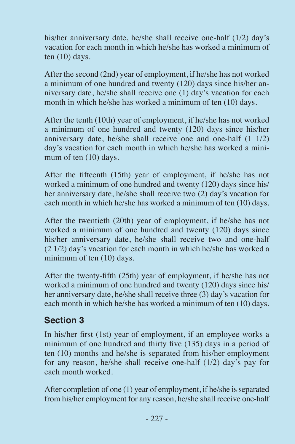his/her anniversary date, he/she shall receive one-half (1/2) day's vacation for each month in which he/she has worked a minimum of ten (10) days.

After the second (2nd) year of employment, if he/she has not worked a minimum of one hundred and twenty (120) days since his/her anniversary date, he/she shall receive one (1) day's vacation for each month in which he/she has worked a minimum of ten (10) days.

After the tenth (10th) year of employment, if he/she has not worked a minimum of one hundred and twenty (120) days since his/her anniversary date, he/she shall receive one and one-half (1 1/2) day's vacation for each month in which he/she has worked a minimum of ten (10) days.

After the fifteenth (15th) year of employment, if he/she has not worked a minimum of one hundred and twenty (120) days since his/ her anniversary date, he/she shall receive two (2) day's vacation for each month in which he/she has worked a minimum of ten (10) days.

After the twentieth (20th) year of employment, if he/she has not worked a minimum of one hundred and twenty (120) days since his/her anniversary date, he/she shall receive two and one-half (2 1/2) day's vacation for each month in which he/she has worked a minimum of ten (10) days.

After the twenty-fifth (25th) year of employment, if he/she has not worked a minimum of one hundred and twenty (120) days since his/ her anniversary date, he/she shall receive three (3) day's vacation for each month in which he/she has worked a minimum of ten (10) days.

## **Section 3**

In his/her first (1st) year of employment, if an employee works a minimum of one hundred and thirty five (135) days in a period of ten (10) months and he/she is separated from his/her employment for any reason, he/she shall receive one-half (1/2) day's pay for each month worked.

After completion of one (1) year of employment, if he/she is separated from his/her employment for any reason, he/she shall receive one-half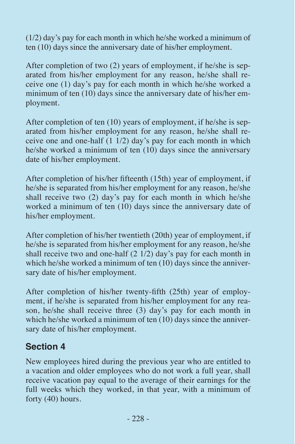(1/2) day's pay for each month in which he/she worked a minimum of ten (10) days since the anniversary date of his/her employment.

After completion of two (2) years of employment, if he/she is separated from his/her employment for any reason, he/she shall receive one (1) day's pay for each month in which he/she worked a minimum of ten (10) days since the anniversary date of his/her employment.

After completion of ten (10) years of employment, if he/she is separated from his/her employment for any reason, he/she shall receive one and one-half  $(1 1/2)$  day's pay for each month in which he/she worked a minimum of ten (10) days since the anniversary date of his/her employment.

After completion of his/her fifteenth (15th) year of employment, if he/she is separated from his/her employment for any reason, he/she shall receive two (2) day's pay for each month in which he/she worked a minimum of ten  $(10)$  days since the anniversary date of his/her employment.

After completion of his/her twentieth (20th) year of employment, if he/she is separated from his/her employment for any reason, he/she shall receive two and one-half (2 1/2) day's pay for each month in which he/she worked a minimum of ten (10) days since the anniversary date of his/her employment.

After completion of his/her twenty-fifth (25th) year of employment, if he/she is separated from his/her employment for any reason, he/she shall receive three (3) day's pay for each month in which he/she worked a minimum of ten  $(10)$  days since the anniversary date of his/her employment.

### **Section 4**

New employees hired during the previous year who are entitled to a vacation and older employees who do not work a full year, shall receive vacation pay equal to the average of their earnings for the full weeks which they worked, in that year, with a minimum of forty (40) hours.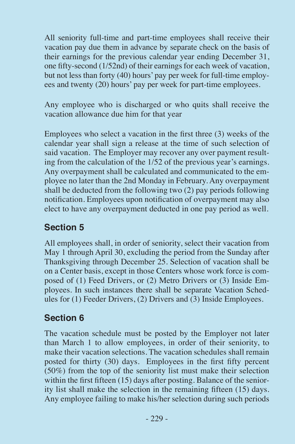All seniority full-time and part-time employees shall receive their vacation pay due them in advance by separate check on the basis of their earnings for the previous calendar year ending December 31, one fifty-second (1/52nd) of their earnings for each week of vacation, but not less than forty (40) hours' pay per week for full-time employees and twenty (20) hours' pay per week for part-time employees.

Any employee who is discharged or who quits shall receive the vacation allowance due him for that year

Employees who select a vacation in the first three (3) weeks of the calendar year shall sign a release at the time of such selection of said vacation. The Employer may recover any over payment resulting from the calculation of the 1/52 of the previous year's earnings. Any overpayment shall be calculated and communicated to the employee no later than the 2nd Monday in February. Any overpayment shall be deducted from the following two (2) pay periods following notification. Employees upon notification of overpayment may also elect to have any overpayment deducted in one pay period as well.

### **Section 5**

All employees shall, in order of seniority, select their vacation from May 1 through April 30, excluding the period from the Sunday after Thanksgiving through December 25. Selection of vacation shall be on a Center basis, except in those Centers whose work force is composed of (1) Feed Drivers, or (2) Metro Drivers or (3) Inside Employees. In such instances there shall be separate Vacation Schedules for (1) Feeder Drivers, (2) Drivers and (3) Inside Employees.

### **Section 6**

The vacation schedule must be posted by the Employer not later than March 1 to allow employees, in order of their seniority, to make their vacation selections. The vacation schedules shall remain posted for thirty (30) days. Employees in the first fifty percent (50%) from the top of the seniority list must make their selection within the first fifteen (15) days after posting. Balance of the seniority list shall make the selection in the remaining fifteen (15) days. Any employee failing to make his/her selection during such periods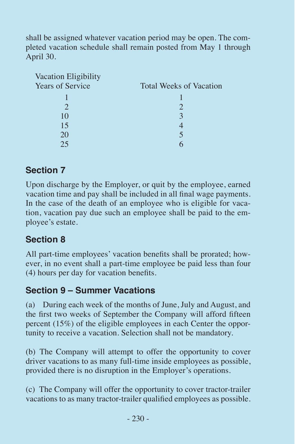shall be assigned whatever vacation period may be open. The completed vacation schedule shall remain posted from May 1 through April 30.

| Vacation Eligibility    |                                |
|-------------------------|--------------------------------|
| <b>Years of Service</b> | <b>Total Weeks of Vacation</b> |
|                         |                                |
|                         |                                |
| 10                      | $\mathcal{R}$                  |
| 15                      |                                |
| 20                      |                                |
| つち                      |                                |

### **Section 7**

Upon discharge by the Employer, or quit by the employee, earned vacation time and pay shall be included in all final wage payments. In the case of the death of an employee who is eligible for vacation, vacation pay due such an employee shall be paid to the employee's estate.

## **Section 8**

All part-time employees' vacation benefits shall be prorated; however, in no event shall a part-time employee be paid less than four (4) hours per day for vacation benefits.

### **Section 9 – Summer Vacations**

(a) During each week of the months of June, July and August, and the first two weeks of September the Company will afford fifteen percent (15%) of the eligible employees in each Center the opportunity to receive a vacation. Selection shall not be mandatory.

(b) The Company will attempt to offer the opportunity to cover driver vacations to as many full-time inside employees as possible, provided there is no disruption in the Employer's operations.

(c) The Company will offer the opportunity to cover tractor-trailer vacations to as many tractor-trailer qualified employees as possible.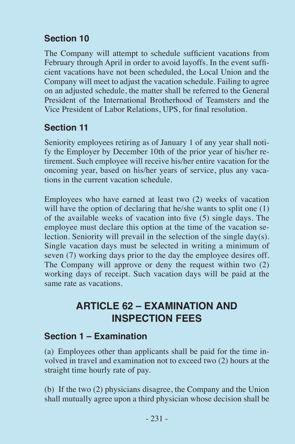## **Section 10**

The Company will attempt to schedule sufficient vacations from February through April in order to avoid layoffs. In the event sufficient vacations have not been scheduled, the Local Union and the Company will meet to adjust the vacation schedule. Failing to agree on an adjusted schedule, the matter shall be referred to the General President of the International Brotherhood of Teamsters and the Vice President of Labor Relations, UPS, for final resolution.

## **Section 11**

Seniority employees retiring as of January 1 of any year shall notify the Employer by December 10th of the prior year of his/her retirement. Such employee will receive his/her entire vacation for the oncoming year, based on his/her years of service, plus any vacations in the current vacation schedule.

Employees who have earned at least two (2) weeks of vacation will have the option of declaring that he/she wants to split one (1) of the available weeks of vacation into five (5) single days. The employee must declare this option at the time of the vacation selection. Seniority will prevail in the selection of the single day(s). Single vacation days must be selected in writing a minimum of seven (7) working days prior to the day the employee desires off. The Company will approve or deny the request within two (2) working days of receipt. Such vacation days will be paid at the same rate as vacations.

# **ARTICLE 62 – EXAMINATION AND INSPECTION FEES**

### **Section 1 – Examination**

(a) Employees other than applicants shall be paid for the time involved in travel and examination not to exceed two (2) hours at the straight time hourly rate of pay.

(b) If the two (2) physicians disagree, the Company and the Union shall mutually agree upon a third physician whose decision shall be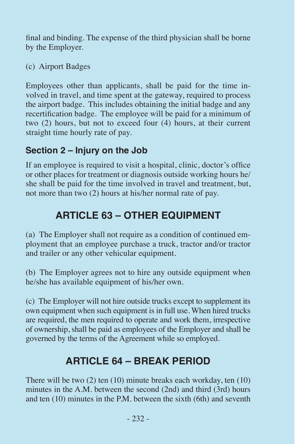final and binding. The expense of the third physician shall be borne by the Employer.

(c) Airport Badges

Employees other than applicants, shall be paid for the time involved in travel, and time spent at the gateway, required to process the airport badge. This includes obtaining the initial badge and any recertification badge. The employee will be paid for a minimum of two (2) hours, but not to exceed four (4) hours, at their current straight time hourly rate of pay.

## **Section 2 – Injury on the Job**

If an employee is required to visit a hospital, clinic, doctor's office or other places for treatment or diagnosis outside working hours he/ she shall be paid for the time involved in travel and treatment, but, not more than two (2) hours at his/her normal rate of pay.

# **ARTICLE 63 – OTHER EQUIPMENT**

(a) The Employer shall not require as a condition of continued employment that an employee purchase a truck, tractor and/or tractor and trailer or any other vehicular equipment.

(b) The Employer agrees not to hire any outside equipment when he/she has available equipment of his/her own.

(c) The Employer will not hire outside trucks except to supplement its own equipment when such equipment is in full use. When hired trucks are required, the men required to operate and work them, irrespective of ownership, shall be paid as employees of the Employer and shall be governed by the terms of the Agreement while so employed.

# **ARTICLE 64 – BREAK PERIOD**

There will be two (2) ten (10) minute breaks each workday, ten (10) minutes in the A.M. between the second (2nd) and third (3rd) hours and ten (10) minutes in the P.M. between the sixth (6th) and seventh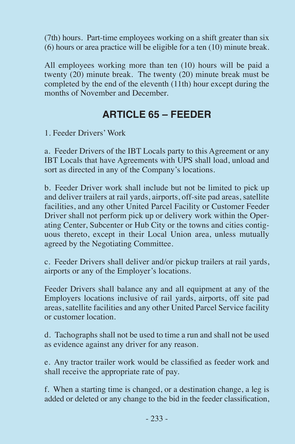(7th) hours. Part-time employees working on a shift greater than six (6) hours or area practice will be eligible for a ten (10) minute break.

All employees working more than ten (10) hours will be paid a twenty (20) minute break. The twenty (20) minute break must be completed by the end of the eleventh (11th) hour except during the months of November and December.

## **ARTICLE 65 – FEEDER**

1. Feeder Drivers' Work

a. Feeder Drivers of the IBT Locals party to this Agreement or any IBT Locals that have Agreements with UPS shall load, unload and sort as directed in any of the Company's locations.

b. Feeder Driver work shall include but not be limited to pick up and deliver trailers at rail yards, airports, off-site pad areas, satellite facilities, and any other United Parcel Facility or Customer Feeder Driver shall not perform pick up or delivery work within the Operating Center, Subcenter or Hub City or the towns and cities contiguous thereto, except in their Local Union area, unless mutually agreed by the Negotiating Committee.

c. Feeder Drivers shall deliver and/or pickup trailers at rail yards, airports or any of the Employer's locations.

Feeder Drivers shall balance any and all equipment at any of the Employers locations inclusive of rail yards, airports, off site pad areas, satellite facilities and any other United Parcel Service facility or customer location.

d. Tachographs shall not be used to time a run and shall not be used as evidence against any driver for any reason.

e. Any tractor trailer work would be classified as feeder work and shall receive the appropriate rate of pay.

f. When a starting time is changed, or a destination change, a leg is added or deleted or any change to the bid in the feeder classification,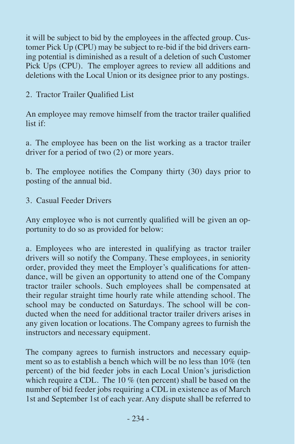it will be subject to bid by the employees in the affected group. Customer Pick Up (CPU) may be subject to re-bid if the bid drivers earning potential is diminished as a result of a deletion of such Customer Pick Ups (CPU). The employer agrees to review all additions and deletions with the Local Union or its designee prior to any postings.

2. Tractor Trailer Qualified List

An employee may remove himself from the tractor trailer qualified list if:

a. The employee has been on the list working as a tractor trailer driver for a period of two (2) or more years.

b. The employee notifies the Company thirty (30) days prior to posting of the annual bid.

3. Casual Feeder Drivers

Any employee who is not currently qualified will be given an opportunity to do so as provided for below:

a. Employees who are interested in qualifying as tractor trailer drivers will so notify the Company. These employees, in seniority order, provided they meet the Employer's qualifications for attendance, will be given an opportunity to attend one of the Company tractor trailer schools. Such employees shall be compensated at their regular straight time hourly rate while attending school. The school may be conducted on Saturdays. The school will be conducted when the need for additional tractor trailer drivers arises in any given location or locations. The Company agrees to furnish the instructors and necessary equipment.

The company agrees to furnish instructors and necessary equipment so as to establish a bench which will be no less than 10% (ten percent) of the bid feeder jobs in each Local Union's jurisdiction which require a CDL. The  $10\%$  (ten percent) shall be based on the number of bid feeder jobs requiring a CDL in existence as of March 1st and September 1st of each year. Any dispute shall be referred to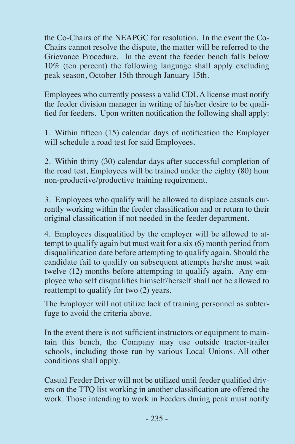the Co-Chairs of the NEAPGC for resolution. In the event the Co-Chairs cannot resolve the dispute, the matter will be referred to the Grievance Procedure. In the event the feeder bench falls below 10% (ten percent) the following language shall apply excluding peak season, October 15th through January 15th.

Employees who currently possess a valid CDL A license must notify the feeder division manager in writing of his/her desire to be qualified for feeders. Upon written notification the following shall apply:

1. Within fifteen (15) calendar days of notification the Employer will schedule a road test for said Employees.

2. Within thirty (30) calendar days after successful completion of the road test, Employees will be trained under the eighty (80) hour non-productive/productive training requirement.

3. Employees who qualify will be allowed to displace casuals currently working within the feeder classification and or return to their original classification if not needed in the feeder department.

4. Employees disqualified by the employer will be allowed to attempt to qualify again but must wait for a six (6) month period from disqualification date before attempting to qualify again. Should the candidate fail to qualify on subsequent attempts he/she must wait twelve (12) months before attempting to qualify again. Any employee who self disqualifies himself/herself shall not be allowed to reattempt to qualify for two (2) years.

The Employer will not utilize lack of training personnel as subterfuge to avoid the criteria above.

In the event there is not sufficient instructors or equipment to maintain this bench, the Company may use outside tractor-trailer schools, including those run by various Local Unions. All other conditions shall apply.

Casual Feeder Driver will not be utilized until feeder qualified drivers on the TTQ list working in another classification are offered the work. Those intending to work in Feeders during peak must notify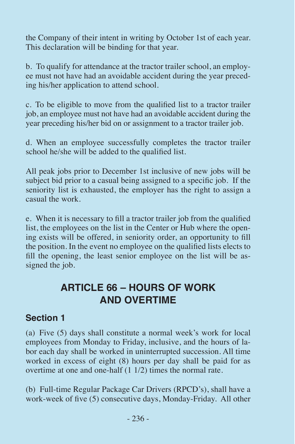the Company of their intent in writing by October 1st of each year. This declaration will be binding for that year.

b. To qualify for attendance at the tractor trailer school, an employee must not have had an avoidable accident during the year preceding his/her application to attend school.

c. To be eligible to move from the qualified list to a tractor trailer job, an employee must not have had an avoidable accident during the year preceding his/her bid on or assignment to a tractor trailer job.

d. When an employee successfully completes the tractor trailer school he/she will be added to the qualified list.

All peak jobs prior to December 1st inclusive of new jobs will be subject bid prior to a casual being assigned to a specific job. If the seniority list is exhausted, the employer has the right to assign a casual the work.

e. When it is necessary to fill a tractor trailer job from the qualified list, the employees on the list in the Center or Hub where the opening exists will be offered, in seniority order, an opportunity to fill the position. In the event no employee on the qualified lists elects to fill the opening, the least senior employee on the list will be assigned the job.

# **ARTICLE 66 – HOURS OF WORK AND OVERTIME**

#### **Section 1**

(a) Five (5) days shall constitute a normal week's work for local employees from Monday to Friday, inclusive, and the hours of labor each day shall be worked in uninterrupted succession. All time worked in excess of eight (8) hours per day shall be paid for as overtime at one and one-half (1 1/2) times the normal rate.

(b) Full-time Regular Package Car Drivers (RPCD's), shall have a work-week of five (5) consecutive days, Monday-Friday. All other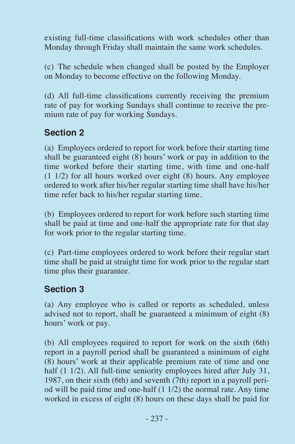existing full-time classifications with work schedules other than Monday through Friday shall maintain the same work schedules.

(c) The schedule when changed shall be posted by the Employer on Monday to become effective on the following Monday.

(d) All full-time classifications currently receiving the premium rate of pay for working Sundays shall continue to receive the premium rate of pay for working Sundays.

### **Section 2**

(a) Employees ordered to report for work before their starting time shall be guaranteed eight (8) hours' work or pay in addition to the time worked before their starting time, with time and one-half (1 1/2) for all hours worked over eight (8) hours. Any employee ordered to work after his/her regular starting time shall have his/her time refer back to his/her regular starting time.

(b) Employees ordered to report for work before such starting time shall be paid at time and one-half the appropriate rate for that day for work prior to the regular starting time.

(c) Part-time employees ordered to work before their regular start time shall be paid at straight time for work prior to the regular start time plus their guarantee.

### **Section 3**

(a) Any employee who is called or reports as scheduled, unless advised not to report, shall be guaranteed a minimum of eight (8) hours' work or pay.

(b) All employees required to report for work on the sixth (6th) report in a payroll period shall be guaranteed a minimum of eight (8) hours' work at their applicable premium rate of time and one half (1 1/2). All full-time seniority employees hired after July 31, 1987, on their sixth (6th) and seventh (7th) report in a payroll period will be paid time and one-half (1 1/2) the normal rate. Any time worked in excess of eight (8) hours on these days shall be paid for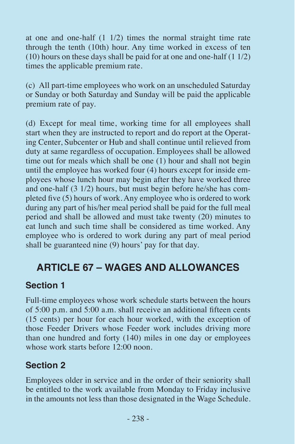at one and one-half (1 1/2) times the normal straight time rate through the tenth (10th) hour. Any time worked in excess of ten (10) hours on these days shall be paid for at one and one-half (1 1/2) times the applicable premium rate.

(c) All part-time employees who work on an unscheduled Saturday or Sunday or both Saturday and Sunday will be paid the applicable premium rate of pay.

(d) Except for meal time, working time for all employees shall start when they are instructed to report and do report at the Operating Center, Subcenter or Hub and shall continue until relieved from duty at same regardless of occupation. Employees shall be allowed time out for meals which shall be one (1) hour and shall not begin until the employee has worked four (4) hours except for inside employees whose lunch hour may begin after they have worked three and one-half (3 1/2) hours, but must begin before he/she has completed five (5) hours of work. Any employee who is ordered to work during any part of his/her meal period shall be paid for the full meal period and shall be allowed and must take twenty (20) minutes to eat lunch and such time shall be considered as time worked. Any employee who is ordered to work during any part of meal period shall be guaranteed nine (9) hours' pay for that day.

## **ARTICLE 67 – WAGES AND ALLOWANCES**

#### **Section 1**

Full-time employees whose work schedule starts between the hours of 5:00 p.m. and 5:00 a.m. shall receive an additional fifteen cents (15 cents) per hour for each hour worked, with the exception of those Feeder Drivers whose Feeder work includes driving more than one hundred and forty (140) miles in one day or employees whose work starts before 12:00 noon.

### **Section 2**

Employees older in service and in the order of their seniority shall be entitled to the work available from Monday to Friday inclusive in the amounts not less than those designated in the Wage Schedule.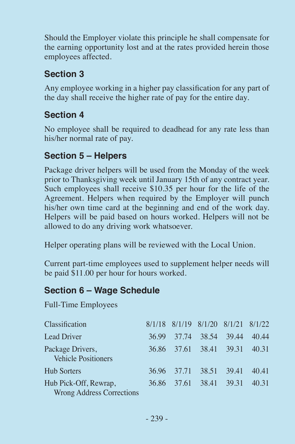Should the Employer violate this principle he shall compensate for the earning opportunity lost and at the rates provided herein those employees affected.

## **Section 3**

Any employee working in a higher pay classification for any part of the day shall receive the higher rate of pay for the entire day.

## **Section 4**

No employee shall be required to deadhead for any rate less than his/her normal rate of pay.

## **Section 5 – Helpers**

Package driver helpers will be used from the Monday of the week prior to Thanksgiving week until January 15th of any contract year. Such employees shall receive \$10.35 per hour for the life of the Agreement. Helpers when required by the Employer will punch his/her own time card at the beginning and end of the work day. Helpers will be paid based on hours worked. Helpers will not be allowed to do any driving work whatsoever.

Helper operating plans will be reviewed with the Local Union.

Current part-time employees used to supplement helper needs will be paid \$11.00 per hour for hours worked.

### **Section 6 – Wage Schedule**

Full-Time Employees

| Classification                                            |       | 8/1/18 8/1/19 8/1/20 8/1/21 8/1/22 |             |       |
|-----------------------------------------------------------|-------|------------------------------------|-------------|-------|
| Lead Driver                                               | 36.99 | 37.74                              | 38.54 39.44 | 40.44 |
| Package Drivers,<br><b>Vehicle Positioners</b>            |       | 36.86 37.61 38.41 39.31            |             | 40.31 |
| <b>Hub Sorters</b>                                        | 36.96 | 37.71 38.51 39.41                  |             | 40.41 |
| Hub Pick-Off, Rewrap,<br><b>Wrong Address Corrections</b> | 36.86 | 37.61                              | 38.41 39.31 | 40.31 |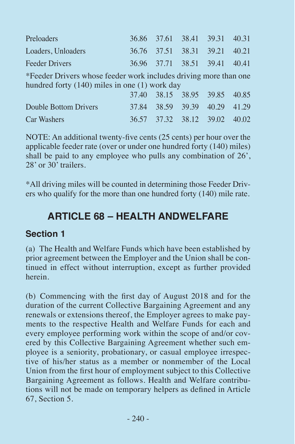| Preloaders         | 36.86 37.61 38.41 39.31 40.31 |  |  |
|--------------------|-------------------------------|--|--|
| Loaders, Unloaders | 36.76 37.51 38.31 39.21 40.21 |  |  |
| Feeder Drivers     | 36.96 37.71 38.51 39.41 40.41 |  |  |

\*Feeder Drivers whose feeder work includes driving more than one hundred forty (140) miles in one (1) work day

|                       |  | 37.40 38.15 38.95 39.85 40.85 |  |
|-----------------------|--|-------------------------------|--|
| Double Bottom Drivers |  | 37.84 38.59 39.39 40.29 41.29 |  |
| Car Washers           |  | 36.57 37.32 38.12 39.02 40.02 |  |

NOTE: An additional twenty-five cents (25 cents) per hour over the applicable feeder rate (over or under one hundred forty (140) miles) shall be paid to any employee who pulls any combination of 26', 28' or 30' trailers.

\*All driving miles will be counted in determining those Feeder Drivers who qualify for the more than one hundred forty (140) mile rate.

## **ARTICLE 68 – HEALTH ANDWELFARE**

#### **Section 1**

(a) The Health and Welfare Funds which have been established by prior agreement between the Employer and the Union shall be continued in effect without interruption, except as further provided herein.

(b) Commencing with the first day of August 2018 and for the duration of the current Collective Bargaining Agreement and any renewals or extensions thereof, the Employer agrees to make payments to the respective Health and Welfare Funds for each and every employee performing work within the scope of and/or covered by this Collective Bargaining Agreement whether such employee is a seniority, probationary, or casual employee irrespective of his/her status as a member or nonmember of the Local Union from the first hour of employment subject to this Collective Bargaining Agreement as follows. Health and Welfare contributions will not be made on temporary helpers as defined in Article 67, Section 5.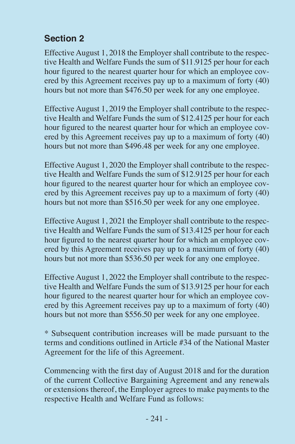## **Section 2**

Effective August 1, 2018 the Employer shall contribute to the respective Health and Welfare Funds the sum of \$11.9125 per hour for each hour figured to the nearest quarter hour for which an employee covered by this Agreement receives pay up to a maximum of forty (40) hours but not more than \$476.50 per week for any one employee.

Effective August 1, 2019 the Employer shall contribute to the respective Health and Welfare Funds the sum of \$12.4125 per hour for each hour figured to the nearest quarter hour for which an employee covered by this Agreement receives pay up to a maximum of forty (40) hours but not more than \$496.48 per week for any one employee.

Effective August 1, 2020 the Employer shall contribute to the respective Health and Welfare Funds the sum of \$12.9125 per hour for each hour figured to the nearest quarter hour for which an employee covered by this Agreement receives pay up to a maximum of forty (40) hours but not more than \$516.50 per week for any one employee.

Effective August 1, 2021 the Employer shall contribute to the respective Health and Welfare Funds the sum of \$13.4125 per hour for each hour figured to the nearest quarter hour for which an employee covered by this Agreement receives pay up to a maximum of forty (40) hours but not more than \$536.50 per week for any one employee.

Effective August 1, 2022 the Employer shall contribute to the respective Health and Welfare Funds the sum of \$13.9125 per hour for each hour figured to the nearest quarter hour for which an employee covered by this Agreement receives pay up to a maximum of forty (40) hours but not more than \$556.50 per week for any one employee.

\* Subsequent contribution increases will be made pursuant to the terms and conditions outlined in Article #34 of the National Master Agreement for the life of this Agreement.

Commencing with the first day of August 2018 and for the duration of the current Collective Bargaining Agreement and any renewals or extensions thereof, the Employer agrees to make payments to the respective Health and Welfare Fund as follows: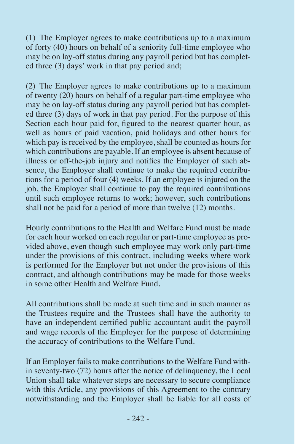(1) The Employer agrees to make contributions up to a maximum of forty (40) hours on behalf of a seniority full-time employee who may be on lay-off status during any payroll period but has completed three (3) days' work in that pay period and;

(2) The Employer agrees to make contributions up to a maximum of twenty  $(20)$  hours on behalf of a regular part-time employee who may be on lay-off status during any payroll period but has completed three (3) days of work in that pay period. For the purpose of this Section each hour paid for, figured to the nearest quarter hour, as well as hours of paid vacation, paid holidays and other hours for which pay is received by the employee, shall be counted as hours for which contributions are payable. If an employee is absent because of illness or off-the-job injury and notifies the Employer of such absence, the Employer shall continue to make the required contributions for a period of four (4) weeks. If an employee is injured on the job, the Employer shall continue to pay the required contributions until such employee returns to work; however, such contributions shall not be paid for a period of more than twelve (12) months.

Hourly contributions to the Health and Welfare Fund must be made for each hour worked on each regular or part-time employee as provided above, even though such employee may work only part-time under the provisions of this contract, including weeks where work is performed for the Employer but not under the provisions of this contract, and although contributions may be made for those weeks in some other Health and Welfare Fund.

All contributions shall be made at such time and in such manner as the Trustees require and the Trustees shall have the authority to have an independent certified public accountant audit the payroll and wage records of the Employer for the purpose of determining the accuracy of contributions to the Welfare Fund.

If an Employer fails to make contributions to the Welfare Fund within seventy-two (72) hours after the notice of delinquency, the Local Union shall take whatever steps are necessary to secure compliance with this Article, any provisions of this Agreement to the contrary notwithstanding and the Employer shall be liable for all costs of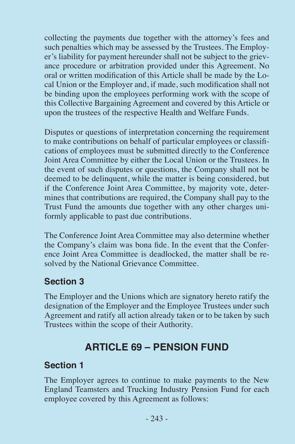collecting the payments due together with the attorney's fees and such penalties which may be assessed by the Trustees. The Employer's liability for payment hereunder shall not be subject to the grievance procedure or arbitration provided under this Agreement. No oral or written modification of this Article shall be made by the Local Union or the Employer and, if made, such modification shall not be binding upon the employees performing work with the scope of this Collective Bargaining Agreement and covered by this Article or upon the trustees of the respective Health and Welfare Funds.

Disputes or questions of interpretation concerning the requirement to make contributions on behalf of particular employees or classifications of employees must be submitted directly to the Conference Joint Area Committee by either the Local Union or the Trustees. In the event of such disputes or questions, the Company shall not be deemed to be delinquent, while the matter is being considered, but if the Conference Joint Area Committee, by majority vote, determines that contributions are required, the Company shall pay to the Trust Fund the amounts due together with any other charges uniformly applicable to past due contributions.

The Conference Joint Area Committee may also determine whether the Company's claim was bona fide. In the event that the Conference Joint Area Committee is deadlocked, the matter shall be resolved by the National Grievance Committee.

### **Section 3**

The Employer and the Unions which are signatory hereto ratify the designation of the Employer and the Employee Trustees under such Agreement and ratify all action already taken or to be taken by such Trustees within the scope of their Authority.

# **ARTICLE 69 – PENSION FUND**

## **Section 1**

The Employer agrees to continue to make payments to the New England Teamsters and Trucking Industry Pension Fund for each employee covered by this Agreement as follows: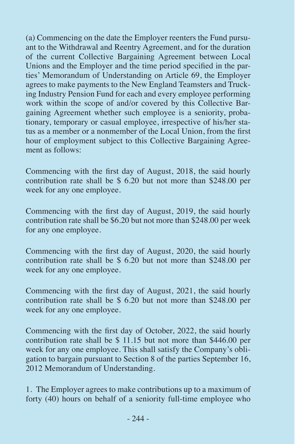(a) Commencing on the date the Employer reenters the Fund pursuant to the Withdrawal and Reentry Agreement, and for the duration of the current Collective Bargaining Agreement between Local Unions and the Employer and the time period specified in the parties' Memorandum of Understanding on Article 69, the Employer agrees to make payments to the New England Teamsters and Trucking Industry Pension Fund for each and every employee performing work within the scope of and/or covered by this Collective Bargaining Agreement whether such employee is a seniority, probationary, temporary or casual employee, irrespective of his/her status as a member or a nonmember of the Local Union, from the first hour of employment subject to this Collective Bargaining Agreement as follows:

Commencing with the first day of August, 2018, the said hourly contribution rate shall be \$ 6.20 but not more than \$248.00 per week for any one employee.

Commencing with the first day of August, 2019, the said hourly contribution rate shall be \$6.20 but not more than \$248.00 per week for any one employee.

Commencing with the first day of August, 2020, the said hourly contribution rate shall be \$ 6.20 but not more than \$248.00 per week for any one employee.

Commencing with the first day of August, 2021, the said hourly contribution rate shall be \$ 6.20 but not more than \$248.00 per week for any one employee.

Commencing with the first day of October, 2022, the said hourly contribution rate shall be \$ 11.15 but not more than \$446.00 per week for any one employee. This shall satisfy the Company's obligation to bargain pursuant to Section 8 of the parties September 16, 2012 Memorandum of Understanding.

1. The Employer agrees to make contributions up to a maximum of forty (40) hours on behalf of a seniority full-time employee who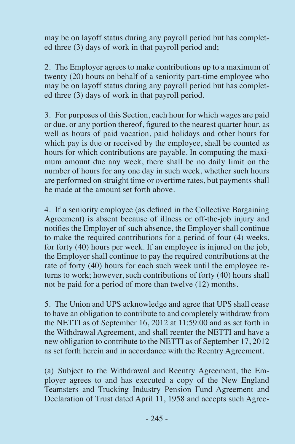may be on layoff status during any payroll period but has completed three (3) days of work in that payroll period and;

2. The Employer agrees to make contributions up to a maximum of twenty (20) hours on behalf of a seniority part-time employee who may be on layoff status during any payroll period but has completed three (3) days of work in that payroll period.

3. For purposes of this Section, each hour for which wages are paid or due, or any portion thereof, figured to the nearest quarter hour, as well as hours of paid vacation, paid holidays and other hours for which pay is due or received by the employee, shall be counted as hours for which contributions are payable. In computing the maximum amount due any week, there shall be no daily limit on the number of hours for any one day in such week, whether such hours are performed on straight time or overtime rates, but payments shall be made at the amount set forth above.

4. If a seniority employee (as defined in the Collective Bargaining Agreement) is absent because of illness or off-the-job injury and notifies the Employer of such absence, the Employer shall continue to make the required contributions for a period of four (4) weeks, for forty (40) hours per week. If an employee is injured on the job, the Employer shall continue to pay the required contributions at the rate of forty (40) hours for each such week until the employee returns to work; however, such contributions of forty (40) hours shall not be paid for a period of more than twelve (12) months.

5. The Union and UPS acknowledge and agree that UPS shall cease to have an obligation to contribute to and completely withdraw from the NETTI as of September 16, 2012 at 11:59:00 and as set forth in the Withdrawal Agreement, and shall reenter the NETTI and have a new obligation to contribute to the NETTI as of September 17, 2012 as set forth herein and in accordance with the Reentry Agreement.

(a) Subject to the Withdrawal and Reentry Agreement, the Employer agrees to and has executed a copy of the New England Teamsters and Trucking Industry Pension Fund Agreement and Declaration of Trust dated April 11, 1958 and accepts such Agree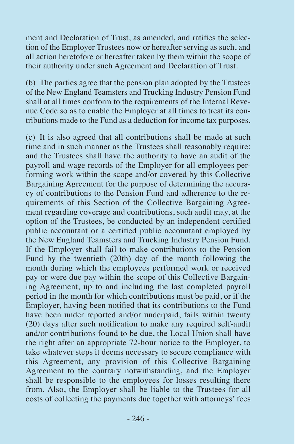ment and Declaration of Trust, as amended, and ratifies the selection of the Employer Trustees now or hereafter serving as such, and all action heretofore or hereafter taken by them within the scope of their authority under such Agreement and Declaration of Trust.

(b) The parties agree that the pension plan adopted by the Trustees of the New England Teamsters and Trucking Industry Pension Fund shall at all times conform to the requirements of the Internal Revenue Code so as to enable the Employer at all times to treat its contributions made to the Fund as a deduction for income tax purposes.

(c) It is also agreed that all contributions shall be made at such time and in such manner as the Trustees shall reasonably require; and the Trustees shall have the authority to have an audit of the payroll and wage records of the Employer for all employees performing work within the scope and/or covered by this Collective Bargaining Agreement for the purpose of determining the accuracy of contributions to the Pension Fund and adherence to the requirements of this Section of the Collective Bargaining Agreement regarding coverage and contributions, such audit may, at the option of the Trustees, be conducted by an independent certified public accountant or a certified public accountant employed by the New England Teamsters and Trucking Industry Pension Fund. If the Employer shall fail to make contributions to the Pension Fund by the twentieth (20th) day of the month following the month during which the employees performed work or received pay or were due pay within the scope of this Collective Bargaining Agreement, up to and including the last completed payroll period in the month for which contributions must be paid, or if the Employer, having been notified that its contributions to the Fund have been under reported and/or underpaid, fails within twenty (20) days after such notification to make any required self-audit and/or contributions found to be due, the Local Union shall have the right after an appropriate 72-hour notice to the Employer, to take whatever steps it deems necessary to secure compliance with this Agreement, any provision of this Collective Bargaining Agreement to the contrary notwithstanding, and the Employer shall be responsible to the employees for losses resulting there from. Also, the Employer shall be liable to the Trustees for all costs of collecting the payments due together with attorneys' fees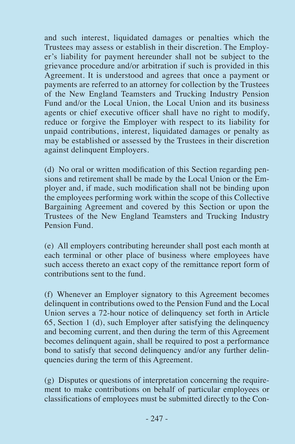and such interest, liquidated damages or penalties which the Trustees may assess or establish in their discretion. The Employer's liability for payment hereunder shall not be subject to the grievance procedure and/or arbitration if such is provided in this Agreement. It is understood and agrees that once a payment or payments are referred to an attorney for collection by the Trustees of the New England Teamsters and Trucking Industry Pension Fund and/or the Local Union, the Local Union and its business agents or chief executive officer shall have no right to modify, reduce or forgive the Employer with respect to its liability for unpaid contributions, interest, liquidated damages or penalty as may be established or assessed by the Trustees in their discretion against delinquent Employers.

(d) No oral or written modification of this Section regarding pensions and retirement shall be made by the Local Union or the Employer and, if made, such modification shall not be binding upon the employees performing work within the scope of this Collective Bargaining Agreement and covered by this Section or upon the Trustees of the New England Teamsters and Trucking Industry Pension Fund.

(e) All employers contributing hereunder shall post each month at each terminal or other place of business where employees have such access thereto an exact copy of the remittance report form of contributions sent to the fund.

(f) Whenever an Employer signatory to this Agreement becomes delinquent in contributions owed to the Pension Fund and the Local Union serves a 72-hour notice of delinquency set forth in Article 65, Section 1 (d), such Employer after satisfying the delinquency and becoming current, and then during the term of this Agreement becomes delinquent again, shall be required to post a performance bond to satisfy that second delinquency and/or any further delinquencies during the term of this Agreement.

(g) Disputes or questions of interpretation concerning the requirement to make contributions on behalf of particular employees or classifications of employees must be submitted directly to the Con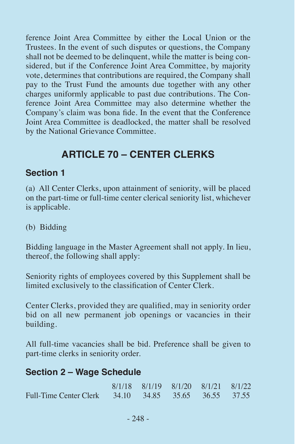ference Joint Area Committee by either the Local Union or the Trustees. In the event of such disputes or questions, the Company shall not be deemed to be delinquent, while the matter is being considered, but if the Conference Joint Area Committee, by majority vote, determines that contributions are required, the Company shall pay to the Trust Fund the amounts due together with any other charges uniformly applicable to past due contributions. The Conference Joint Area Committee may also determine whether the Company's claim was bona fide. In the event that the Conference Joint Area Committee is deadlocked, the matter shall be resolved by the National Grievance Committee.

## **ARTICLE 70 – CENTER CLERKS**

#### **Section 1**

(a) All Center Clerks, upon attainment of seniority, will be placed on the part-time or full-time center clerical seniority list, whichever is applicable.

(b) Bidding

Bidding language in the Master Agreement shall not apply. In lieu, thereof, the following shall apply:

Seniority rights of employees covered by this Supplement shall be limited exclusively to the classification of Center Clerk.

Center Clerks, provided they are qualified, may in seniority order bid on all new permanent job openings or vacancies in their building.

All full-time vacancies shall be bid. Preference shall be given to part-time clerks in seniority order.

#### **Section 2 – Wage Schedule**

|                                                      | 8/1/18 8/1/19 8/1/20 8/1/21 8/1/22 |  |  |
|------------------------------------------------------|------------------------------------|--|--|
| Full-Time Center Clerk 34.10 34.85 35.65 36.55 37.55 |                                    |  |  |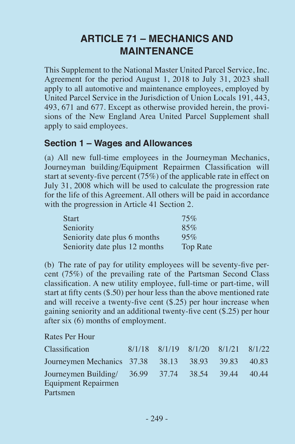# **ARTICLE 71 – MECHANICS AND MAINTENANCE**

This Supplement to the National Master United Parcel Service, Inc. Agreement for the period August 1, 2018 to July 31, 2023 shall apply to all automotive and maintenance employees, employed by United Parcel Service in the Jurisdiction of Union Locals 191, 443, 493, 671 and 677. Except as otherwise provided herein, the provisions of the New England Area United Parcel Supplement shall apply to said employees.

#### **Section 1 – Wages and Allowances**

(a) All new full-time employees in the Journeyman Mechanics, Journeyman building/Equipment Repairmen Classification will start at seventy-five percent (75%) of the applicable rate in effect on July 31, 2008 which will be used to calculate the progression rate for the life of this Agreement. All others will be paid in accordance with the progression in Article 41 Section 2.

| <b>Start</b>                  | 75%      |
|-------------------------------|----------|
| Seniority                     | 85%      |
| Seniority date plus 6 months  | 95%      |
| Seniority date plus 12 months | Top Rate |

(b) The rate of pay for utility employees will be seventy-five percent (75%) of the prevailing rate of the Partsman Second Class classification. A new utility employee, full-time or part-time, will start at fifty cents (\$.50) per hour less than the above mentioned rate and will receive a twenty-five cent (\$.25) per hour increase when gaining seniority and an additional twenty-five cent (\$.25) per hour after six (6) months of employment.

Rates Per Hour

| <b>Classification</b>                                                                 | 8/1/18 8/1/19 8/1/20 8/1/21 8/1/22 |  |  |
|---------------------------------------------------------------------------------------|------------------------------------|--|--|
| Journeymen Mechanics 37.38 38.13 38.93 39.83 40.83                                    |                                    |  |  |
| Journeymen Building/ 36.99 37.74 38.54 39.44 40.44<br>Equipment Repairmen<br>Partsmen |                                    |  |  |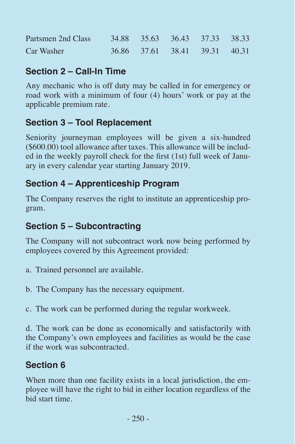| Partsmen 2nd Class | 34.88 35.63 36.43 37.33 38.33 |  |  |
|--------------------|-------------------------------|--|--|
| Car Washer         | 36.86 37.61 38.41 39.31 40.31 |  |  |

### **Section 2 – Call-In Time**

Any mechanic who is off duty may be called in for emergency or road work with a minimum of four (4) hours' work or pay at the applicable premium rate.

## **Section 3 – Tool Replacement**

Seniority journeyman employees will be given a six-hundred (\$600.00) tool allowance after taxes. This allowance will be included in the weekly payroll check for the first (1st) full week of January in every calendar year starting January 2019.

## **Section 4 – Apprenticeship Program**

The Company reserves the right to institute an apprenticeship program.

## **Section 5 – Subcontracting**

The Company will not subcontract work now being performed by employees covered by this Agreement provided:

- a. Trained personnel are available.
- b. The Company has the necessary equipment.
- c. The work can be performed during the regular workweek.

d. The work can be done as economically and satisfactorily with the Company's own employees and facilities as would be the case if the work was subcontracted.

## **Section 6**

When more than one facility exists in a local jurisdiction, the employee will have the right to bid in either location regardless of the bid start time.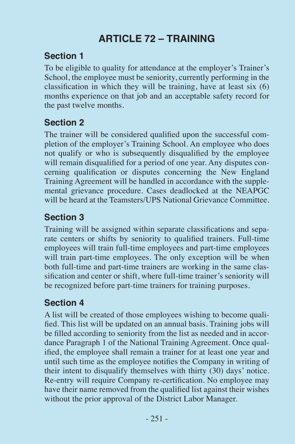# **ARTICLE 72 – TRAINING**

### **Section 1**

To be eligible to quality for attendance at the employer's Trainer's School, the employee must be seniority, currently performing in the classification in which they will be training, have at least six (6) months experience on that job and an acceptable safety record for the past twelve months.

## **Section 2**

The trainer will be considered qualified upon the successful completion of the employer's Training School. An employee who does not qualify or who is subsequently disqualified by the employee will remain disqualified for a period of one year. Any disputes concerning qualification or disputes concerning the New England Training Agreement will be handled in accordance with the supplemental grievance procedure. Cases deadlocked at the NEAPGC will be heard at the Teamsters/UPS National Grievance Committee.

## **Section 3**

Training will be assigned within separate classifications and separate centers or shifts by seniority to qualified trainers. Full-time employees will train full-time employees and part-time employees will train part-time employees. The only exception will be when both full-time and part-time trainers are working in the same classification and center or shift, where full-time trainer's seniority will be recognized before part-time trainers for training purposes.

## **Section 4**

A list will be created of those employees wishing to become qualified. This list will be updated on an annual basis. Training jobs will be filled according to seniority from the list as needed and in accordance Paragraph 1 of the National Training Agreement. Once qualified, the employee shall remain a trainer for at least one year and until such time as the employee notifies the Company in writing of their intent to disqualify themselves with thirty (30) days' notice. Re-entry will require Company re-certification. No employee may have their name removed from the qualified list against their wishes without the prior approval of the District Labor Manager.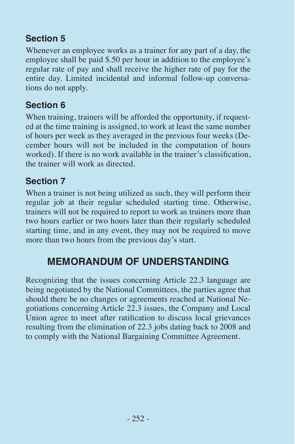## **Section 5**

Whenever an employee works as a trainer for any part of a day, the employee shall be paid \$.50 per hour in addition to the employee's regular rate of pay and shall receive the higher rate of pay for the entire day. Limited incidental and informal follow-up conversations do not apply.

## **Section 6**

When training, trainers will be afforded the opportunity, if requested at the time training is assigned, to work at least the same number of hours per week as they averaged in the previous four weeks (December hours will not be included in the computation of hours worked). If there is no work available in the trainer's classification, the trainer will work as directed.

### **Section 7**

When a trainer is not being utilized as such, they will perform their regular job at their regular scheduled starting time. Otherwise, trainers will not be required to report to work as trainers more than two hours earlier or two hours later than their regularly scheduled starting time, and in any event, they may not be required to move more than two hours from the previous day's start.

# **MEMORANDUM OF UNDERSTANDING**

Recognizing that the issues concerning Article 22.3 language are being negotiated by the National Committees, the parties agree that should there be no changes or agreements reached at National Negotiations concerning Article 22.3 issues, the Company and Local Union agree to meet after ratification to discuss local grievances resulting from the elimination of 22.3 jobs dating back to 2008 and to comply with the National Bargaining Committee Agreement.